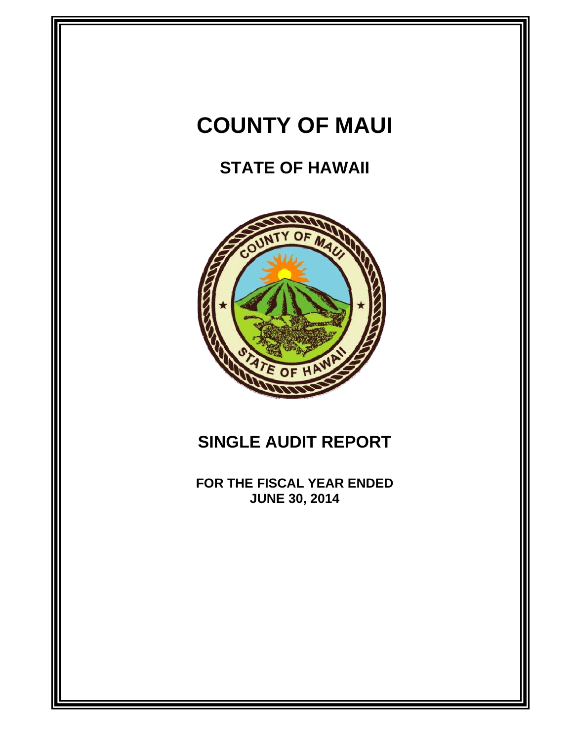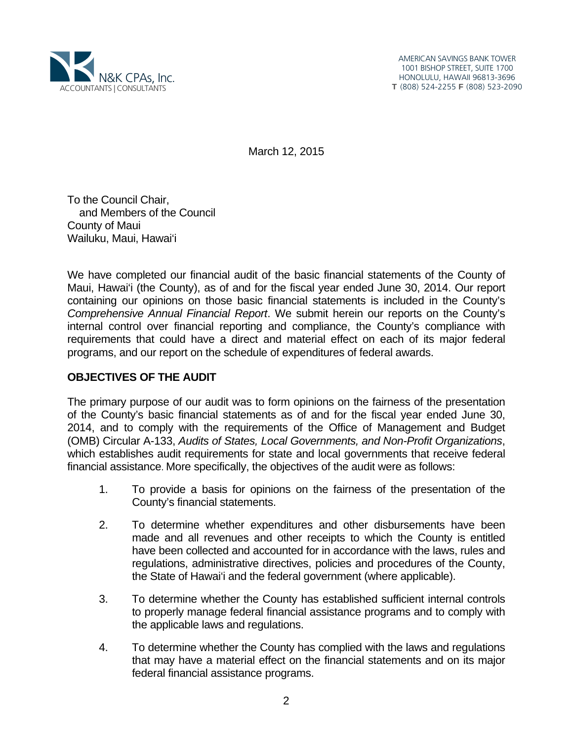

March 12, 2015

To the Council Chair, and Members of the Council County of Maui Wailuku, Maui, Hawai'i

We have completed our financial audit of the basic financial statements of the County of Maui, Hawai'i (the County), as of and for the fiscal year ended June 30, 2014. Our report containing our opinions on those basic financial statements is included in the County's *Comprehensive Annual Financial Report*. We submit herein our reports on the County's internal control over financial reporting and compliance, the County's compliance with requirements that could have a direct and material effect on each of its major federal programs, and our report on the schedule of expenditures of federal awards.

# **OBJECTIVES OF THE AUDIT**

The primary purpose of our audit was to form opinions on the fairness of the presentation of the County's basic financial statements as of and for the fiscal year ended June 30, 2014, and to comply with the requirements of the Office of Management and Budget (OMB) Circular A-133, *Audits of States, Local Governments, and Non-Profit Organizations*, which establishes audit requirements for state and local governments that receive federal financial assistance. More specifically, the objectives of the audit were as follows:

- 1. To provide a basis for opinions on the fairness of the presentation of the County's financial statements.
- 2. To determine whether expenditures and other disbursements have been made and all revenues and other receipts to which the County is entitled have been collected and accounted for in accordance with the laws, rules and regulations, administrative directives, policies and procedures of the County, the State of Hawai'i and the federal government (where applicable).
- 3. To determine whether the County has established sufficient internal controls to properly manage federal financial assistance programs and to comply with the applicable laws and regulations.
- 4. To determine whether the County has complied with the laws and regulations that may have a material effect on the financial statements and on its major federal financial assistance programs.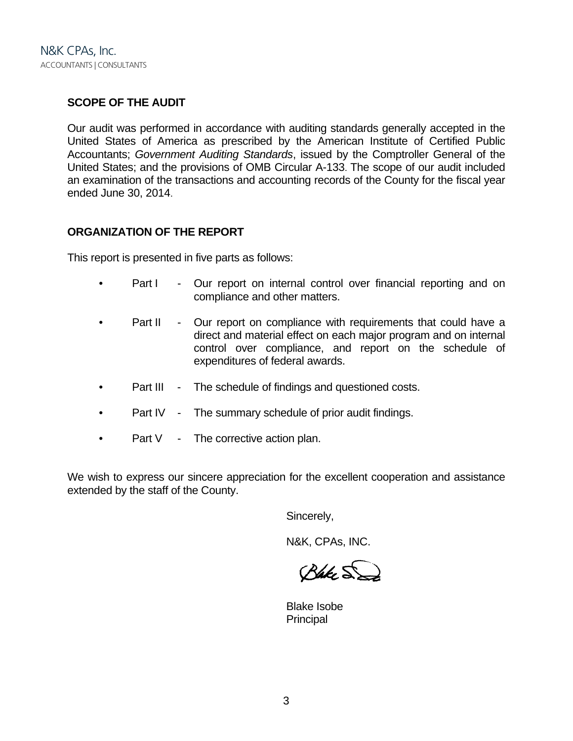# **SCOPE OF THE AUDIT**

Our audit was performed in accordance with auditing standards generally accepted in the United States of America as prescribed by the American Institute of Certified Public Accountants; *Government Auditing Standards*, issued by the Comptroller General of the United States; and the provisions of OMB Circular A-133. The scope of our audit included an examination of the transactions and accounting records of the County for the fiscal year ended June 30, 2014.

# **ORGANIZATION OF THE REPORT**

This report is presented in five parts as follows:

- Part I Our report on internal control over financial reporting and on compliance and other matters.
- Part II Our report on compliance with requirements that could have a direct and material effect on each major program and on internal control over compliance, and report on the schedule of expenditures of federal awards.
- Part III The schedule of findings and questioned costs.
- Part IV The summary schedule of prior audit findings.
- Part V The corrective action plan.

We wish to express our sincere appreciation for the excellent cooperation and assistance extended by the staff of the County.

Sincerely,

N&K, CPAs, INC.

Bake S

 Blake Isobe Principal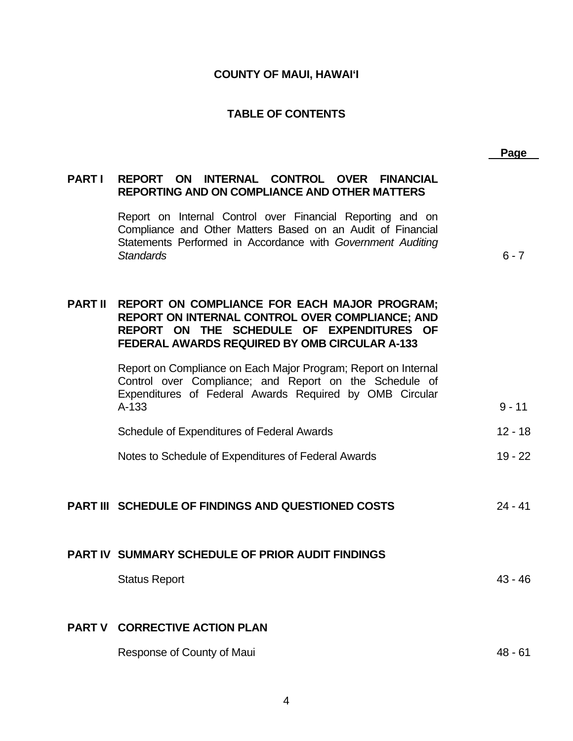#### **COUNTY OF MAUI, HAWAI'I**

## **TABLE OF CONTENTS**

**Page**

## **PART I REPORT ON INTERNAL CONTROL OVER FINANCIAL REPORTING AND ON COMPLIANCE AND OTHER MATTERS**

 Report on Internal Control over Financial Reporting and on Compliance and Other Matters Based on an Audit of Financial Statements Performed in Accordance with *Government Auditing Standards* 6 - 7

# **PART II REPORT ON COMPLIANCE FOR EACH MAJOR PROGRAM; REPORT ON INTERNAL CONTROL OVER COMPLIANCE; AND REPORT ON THE SCHEDULE OF EXPENDITURES OF FEDERAL AWARDS REQUIRED BY OMB CIRCULAR A-133**

 Report on Compliance on Each Major Program; Report on Internal Control over Compliance; and Report on the Schedule of Expenditures of Federal Awards Required by OMB Circular A-133 9 - 11

| Schedule of Expenditures of Federal Awards | $12 - 18$ |
|--------------------------------------------|-----------|
|                                            |           |

Notes to Schedule of Expenditures of Federal Awards 19 - 22

## **PART III SCHEDULE OF FINDINGS AND QUESTIONED COSTS** 24 - 41

#### **PART IV SUMMARY SCHEDULE OF PRIOR AUDIT FINDINGS**

| <b>Status Report</b> | $43 - 46$ |
|----------------------|-----------|
|----------------------|-----------|

## **PART V CORRECTIVE ACTION PLAN**

| Response of County of Maui | $48 - 61$ |
|----------------------------|-----------|
|                            |           |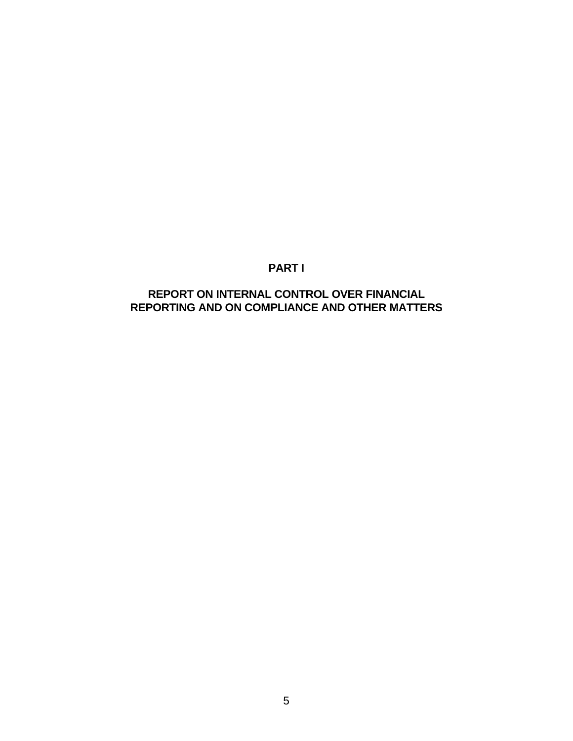# **PART I**

# **REPORT ON INTERNAL CONTROL OVER FINANCIAL REPORTING AND ON COMPLIANCE AND OTHER MATTERS**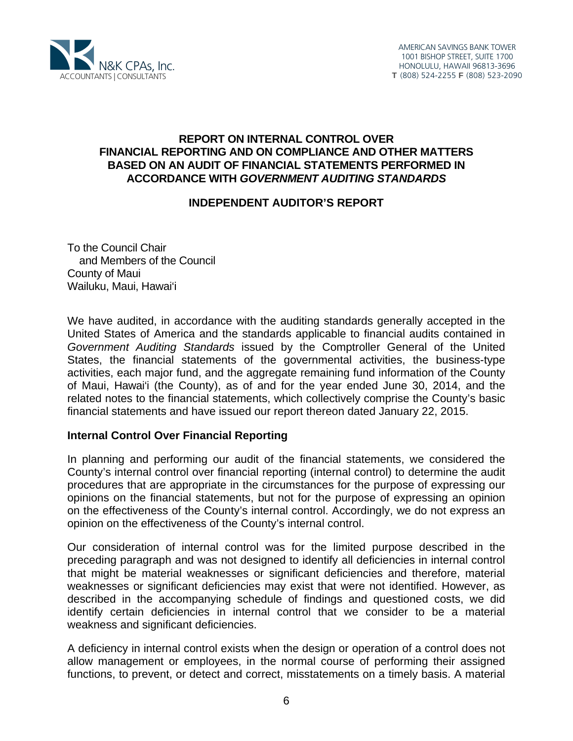

## **REPORT ON INTERNAL CONTROL OVER FINANCIAL REPORTING AND ON COMPLIANCE AND OTHER MATTERS BASED ON AN AUDIT OF FINANCIAL STATEMENTS PERFORMED IN ACCORDANCE WITH** *GOVERNMENT AUDITING STANDARDS*

# **INDEPENDENT AUDITOR'S REPORT**

To the Council Chair and Members of the Council County of Maui Wailuku, Maui, Hawai'i

We have audited, in accordance with the auditing standards generally accepted in the United States of America and the standards applicable to financial audits contained in *Government Auditing Standards* issued by the Comptroller General of the United States, the financial statements of the governmental activities, the business-type activities, each major fund, and the aggregate remaining fund information of the County of Maui, Hawai'i (the County), as of and for the year ended June 30, 2014, and the related notes to the financial statements, which collectively comprise the County's basic financial statements and have issued our report thereon dated January 22, 2015.

## **Internal Control Over Financial Reporting**

In planning and performing our audit of the financial statements, we considered the County's internal control over financial reporting (internal control) to determine the audit procedures that are appropriate in the circumstances for the purpose of expressing our opinions on the financial statements, but not for the purpose of expressing an opinion on the effectiveness of the County's internal control. Accordingly, we do not express an opinion on the effectiveness of the County's internal control.

Our consideration of internal control was for the limited purpose described in the preceding paragraph and was not designed to identify all deficiencies in internal control that might be material weaknesses or significant deficiencies and therefore, material weaknesses or significant deficiencies may exist that were not identified. However, as described in the accompanying schedule of findings and questioned costs, we did identify certain deficiencies in internal control that we consider to be a material weakness and significant deficiencies.

A deficiency in internal control exists when the design or operation of a control does not allow management or employees, in the normal course of performing their assigned functions, to prevent, or detect and correct, misstatements on a timely basis. A material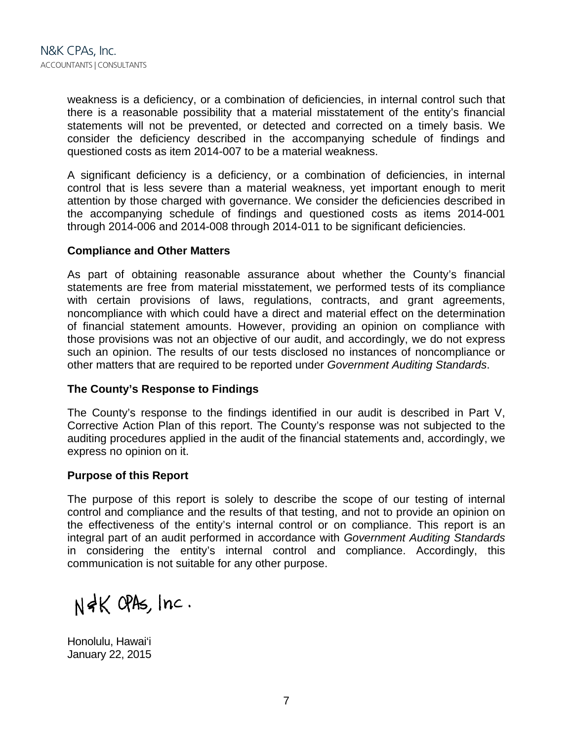weakness is a deficiency, or a combination of deficiencies, in internal control such that there is a reasonable possibility that a material misstatement of the entity's financial statements will not be prevented, or detected and corrected on a timely basis. We consider the deficiency described in the accompanying schedule of findings and questioned costs as item 2014-007 to be a material weakness.

A significant deficiency is a deficiency, or a combination of deficiencies, in internal control that is less severe than a material weakness, yet important enough to merit attention by those charged with governance. We consider the deficiencies described in the accompanying schedule of findings and questioned costs as items 2014-001 through 2014-006 and 2014-008 through 2014-011 to be significant deficiencies.

## **Compliance and Other Matters**

As part of obtaining reasonable assurance about whether the County's financial statements are free from material misstatement, we performed tests of its compliance with certain provisions of laws, regulations, contracts, and grant agreements, noncompliance with which could have a direct and material effect on the determination of financial statement amounts. However, providing an opinion on compliance with those provisions was not an objective of our audit, and accordingly, we do not express such an opinion. The results of our tests disclosed no instances of noncompliance or other matters that are required to be reported under *Government Auditing Standards*.

# **The County's Response to Findings**

The County's response to the findings identified in our audit is described in Part V, Corrective Action Plan of this report. The County's response was not subjected to the auditing procedures applied in the audit of the financial statements and, accordingly, we express no opinion on it.

## **Purpose of this Report**

The purpose of this report is solely to describe the scope of our testing of internal control and compliance and the results of that testing, and not to provide an opinion on the effectiveness of the entity's internal control or on compliance. This report is an integral part of an audit performed in accordance with *Government Auditing Standards* in considering the entity's internal control and compliance. Accordingly, this communication is not suitable for any other purpose.

N&K OPAS, Inc.

Honolulu, Hawai'i January 22, 2015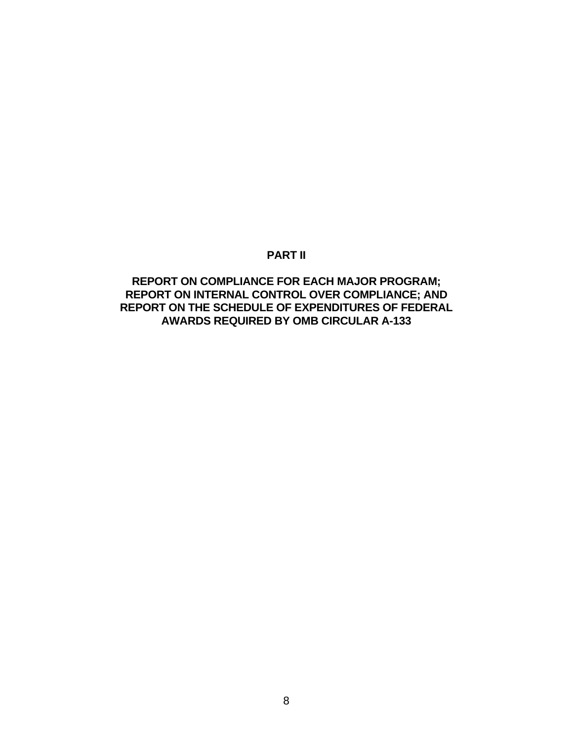# **PART II**

**REPORT ON COMPLIANCE FOR EACH MAJOR PROGRAM; REPORT ON INTERNAL CONTROL OVER COMPLIANCE; AND REPORT ON THE SCHEDULE OF EXPENDITURES OF FEDERAL AWARDS REQUIRED BY OMB CIRCULAR A-133**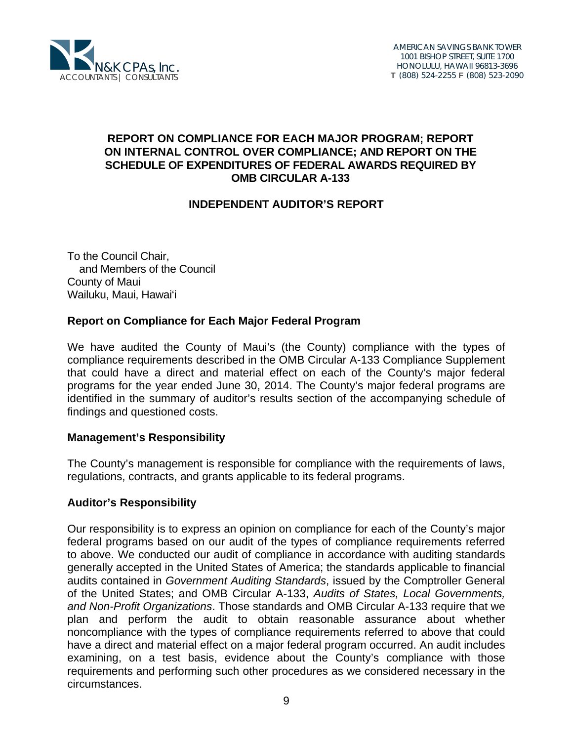

# **REPORT ON COMPLIANCE FOR EACH MAJOR PROGRAM; REPORT ON INTERNAL CONTROL OVER COMPLIANCE; AND REPORT ON THE SCHEDULE OF EXPENDITURES OF FEDERAL AWARDS REQUIRED BY OMB CIRCULAR A-133**

# **INDEPENDENT AUDITOR'S REPORT**

To the Council Chair, and Members of the Council County of Maui Wailuku, Maui, Hawai'i

## **Report on Compliance for Each Major Federal Program**

We have audited the County of Maui's (the County) compliance with the types of compliance requirements described in the OMB Circular A-133 Compliance Supplement that could have a direct and material effect on each of the County's major federal programs for the year ended June 30, 2014. The County's major federal programs are identified in the summary of auditor's results section of the accompanying schedule of findings and questioned costs.

## **Management's Responsibility**

The County's management is responsible for compliance with the requirements of laws, regulations, contracts, and grants applicable to its federal programs.

## **Auditor's Responsibility**

Our responsibility is to express an opinion on compliance for each of the County's major federal programs based on our audit of the types of compliance requirements referred to above. We conducted our audit of compliance in accordance with auditing standards generally accepted in the United States of America; the standards applicable to financial audits contained in *Government Auditing Standards*, issued by the Comptroller General of the United States; and OMB Circular A-133, *Audits of States, Local Governments, and Non-Profit Organizations*. Those standards and OMB Circular A-133 require that we plan and perform the audit to obtain reasonable assurance about whether noncompliance with the types of compliance requirements referred to above that could have a direct and material effect on a major federal program occurred. An audit includes examining, on a test basis, evidence about the County's compliance with those requirements and performing such other procedures as we considered necessary in the circumstances.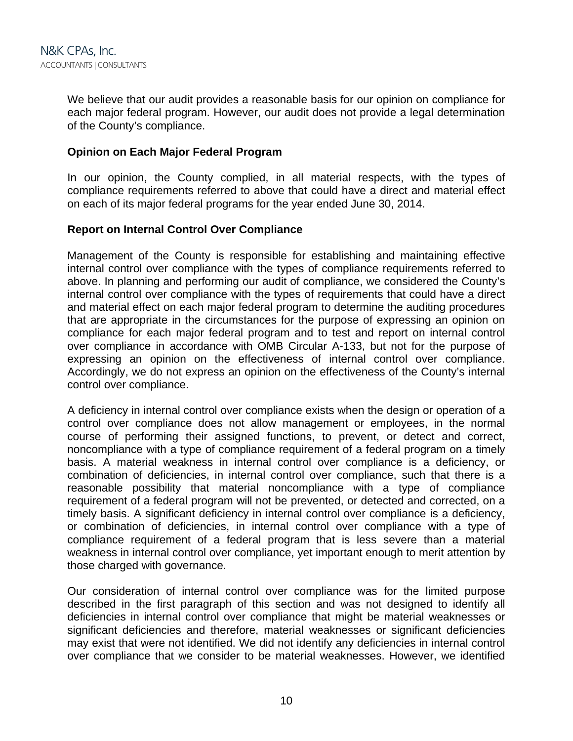We believe that our audit provides a reasonable basis for our opinion on compliance for each major federal program. However, our audit does not provide a legal determination of the County's compliance.

## **Opinion on Each Major Federal Program**

In our opinion, the County complied, in all material respects, with the types of compliance requirements referred to above that could have a direct and material effect on each of its major federal programs for the year ended June 30, 2014.

## **Report on Internal Control Over Compliance**

Management of the County is responsible for establishing and maintaining effective internal control over compliance with the types of compliance requirements referred to above. In planning and performing our audit of compliance, we considered the County's internal control over compliance with the types of requirements that could have a direct and material effect on each major federal program to determine the auditing procedures that are appropriate in the circumstances for the purpose of expressing an opinion on compliance for each major federal program and to test and report on internal control over compliance in accordance with OMB Circular A-133, but not for the purpose of expressing an opinion on the effectiveness of internal control over compliance. Accordingly, we do not express an opinion on the effectiveness of the County's internal control over compliance.

A deficiency in internal control over compliance exists when the design or operation of a control over compliance does not allow management or employees, in the normal course of performing their assigned functions, to prevent, or detect and correct, noncompliance with a type of compliance requirement of a federal program on a timely basis. A material weakness in internal control over compliance is a deficiency, or combination of deficiencies, in internal control over compliance, such that there is a reasonable possibility that material noncompliance with a type of compliance requirement of a federal program will not be prevented, or detected and corrected, on a timely basis. A significant deficiency in internal control over compliance is a deficiency, or combination of deficiencies, in internal control over compliance with a type of compliance requirement of a federal program that is less severe than a material weakness in internal control over compliance, yet important enough to merit attention by those charged with governance.

Our consideration of internal control over compliance was for the limited purpose described in the first paragraph of this section and was not designed to identify all deficiencies in internal control over compliance that might be material weaknesses or significant deficiencies and therefore, material weaknesses or significant deficiencies may exist that were not identified. We did not identify any deficiencies in internal control over compliance that we consider to be material weaknesses. However, we identified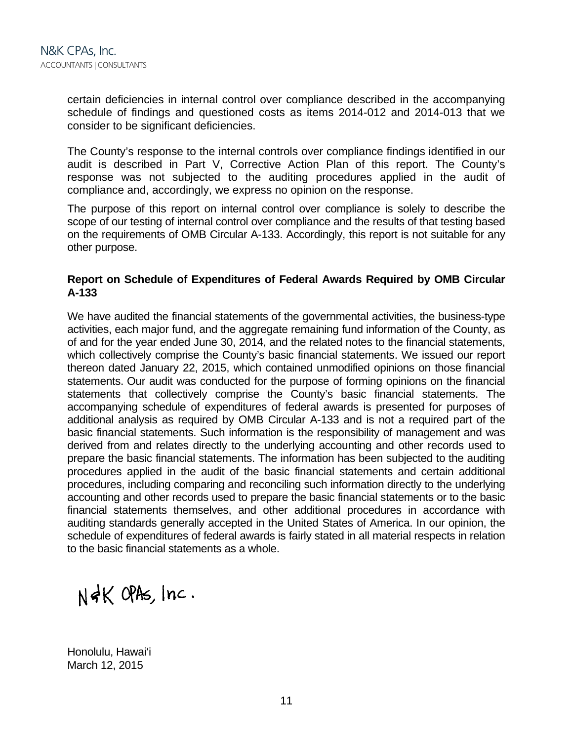certain deficiencies in internal control over compliance described in the accompanying schedule of findings and questioned costs as items 2014-012 and 2014-013 that we consider to be significant deficiencies.

The County's response to the internal controls over compliance findings identified in our audit is described in Part V, Corrective Action Plan of this report. The County's response was not subjected to the auditing procedures applied in the audit of compliance and, accordingly, we express no opinion on the response.

The purpose of this report on internal control over compliance is solely to describe the scope of our testing of internal control over compliance and the results of that testing based on the requirements of OMB Circular A-133. Accordingly, this report is not suitable for any other purpose.

## **Report on Schedule of Expenditures of Federal Awards Required by OMB Circular A-133**

We have audited the financial statements of the governmental activities, the business-type activities, each major fund, and the aggregate remaining fund information of the County, as of and for the year ended June 30, 2014, and the related notes to the financial statements, which collectively comprise the County's basic financial statements. We issued our report thereon dated January 22, 2015, which contained unmodified opinions on those financial statements. Our audit was conducted for the purpose of forming opinions on the financial statements that collectively comprise the County's basic financial statements. The accompanying schedule of expenditures of federal awards is presented for purposes of additional analysis as required by OMB Circular A-133 and is not a required part of the basic financial statements. Such information is the responsibility of management and was derived from and relates directly to the underlying accounting and other records used to prepare the basic financial statements. The information has been subjected to the auditing procedures applied in the audit of the basic financial statements and certain additional procedures, including comparing and reconciling such information directly to the underlying accounting and other records used to prepare the basic financial statements or to the basic financial statements themselves, and other additional procedures in accordance with auditing standards generally accepted in the United States of America. In our opinion, the schedule of expenditures of federal awards is fairly stated in all material respects in relation to the basic financial statements as a whole.

 $N-K$  OPAS, Inc.

Honolulu, Hawai'i March 12, 2015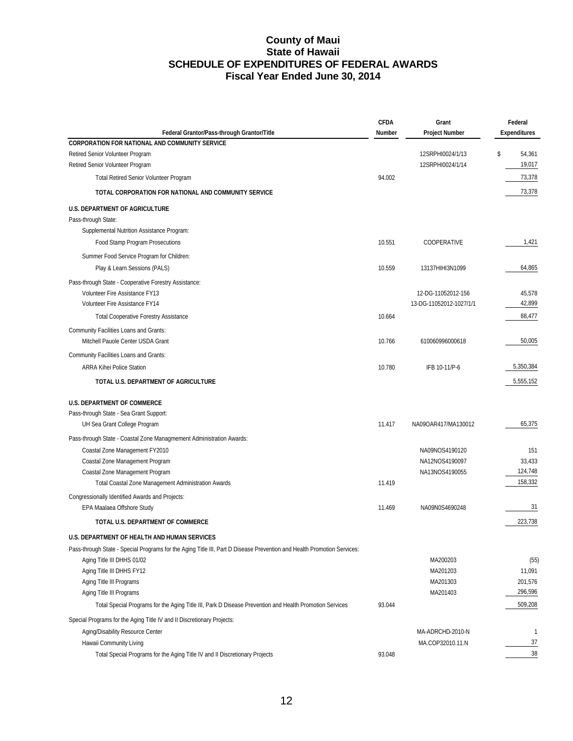|                                                                                                                         | <b>CFDA</b> | Grant                                | Federal                |
|-------------------------------------------------------------------------------------------------------------------------|-------------|--------------------------------------|------------------------|
| Federal Grantor/Pass-through Grantor/Title                                                                              | Number      | <b>Project Number</b>                | <b>Expenditures</b>    |
| <b>CORPORATION FOR NATIONAL AND COMMUNITY SERVICE</b>                                                                   |             |                                      |                        |
| Retired Senior Volunteer Program<br>Retired Senior Volunteer Program                                                    |             | 12SRPHI0024/1/13<br>12SRPHI0024/1/14 | \$<br>54,361<br>19,017 |
| <b>Total Retired Senior Volunteer Program</b>                                                                           | 94.002      |                                      | 73,378                 |
| TOTAL CORPORATION FOR NATIONAL AND COMMUNITY SERVICE                                                                    |             |                                      | 73,378                 |
|                                                                                                                         |             |                                      |                        |
| U.S. DEPARTMENT OF AGRICULTURE                                                                                          |             |                                      |                        |
| Pass-through State:<br>Supplemental Nutrition Assistance Program:                                                       |             |                                      |                        |
| Food Stamp Program Prosecutions                                                                                         | 10.551      | COOPERATIVE                          | 1,421                  |
|                                                                                                                         |             |                                      |                        |
| Summer Food Service Program for Children:                                                                               |             |                                      |                        |
| Play & Learn Sessions (PALS)                                                                                            | 10.559      | 13137HIHI3N1099                      | 64,865                 |
| Pass-through State - Cooperative Forestry Assistance:                                                                   |             |                                      |                        |
| Volunteer Fire Assistance FY13                                                                                          |             | 12-DG-11052012-156                   | 45,578                 |
| Volunteer Fire Assistance FY14                                                                                          |             | 13-DG-11052012-1027/1/1              | 42,899                 |
| <b>Total Cooperative Forestry Assistance</b>                                                                            | 10.664      |                                      | 88,477                 |
| Community Facilities Loans and Grants:                                                                                  |             |                                      |                        |
| Mitchell Pauole Center USDA Grant                                                                                       | 10.766      | 610060996000618                      | 50,005                 |
| Community Facilities Loans and Grants:                                                                                  |             |                                      |                        |
| <b>ARRA Kihei Police Station</b>                                                                                        | 10.780      | IFB 10-11/P-6                        | 5,350,384              |
| TOTAL U.S. DEPARTMENT OF AGRICULTURE                                                                                    |             |                                      | 5,555,152              |
| U.S. DEPARTMENT OF COMMERCE                                                                                             |             |                                      |                        |
| Pass-through State - Sea Grant Support:                                                                                 |             |                                      |                        |
| UH Sea Grant College Program                                                                                            | 11.417      | NA09OAR417/MA130012                  | 65,375                 |
| Pass-through State - Coastal Zone Managmement Administration Awards:                                                    |             |                                      |                        |
| Coastal Zone Management FY2010                                                                                          |             | NA09NOS4190120                       | 151                    |
| Coastal Zone Management Program                                                                                         |             | NA12NOS4190097                       | 33,433                 |
| Coastal Zone Management Program                                                                                         |             | NA13NOS4190055                       | 124,748                |
| Total Coastal Zone Management Administration Awards                                                                     | 11.419      |                                      | 158,332                |
| Congressionally Identified Awards and Projects:                                                                         |             |                                      |                        |
| EPA Maalaea Offshore Study                                                                                              | 11.469      | NA09N0S4690248                       | 31                     |
| TOTAL U.S. DEPARTMENT OF COMMERCE                                                                                       |             |                                      | 223,738                |
| U.S. DEPARTMENT OF HEALTH AND HUMAN SERVICES                                                                            |             |                                      |                        |
| Pass-through State - Special Programs for the Aging Title III, Part D Disease Prevention and Health Promotion Services: |             |                                      |                        |
| Aging Title III DHHS 01/02                                                                                              |             | MA200203                             | (55)                   |
| Aging Title III DHHS FY12                                                                                               |             | MA201203                             | 11,091                 |
| Aging Title III Programs                                                                                                |             | MA201303                             | 201,576                |
| Aging Title III Programs                                                                                                |             | MA201403                             | 296,596                |
| Total Special Programs for the Aging Title III, Park D Disease Prevention and Health Promotion Services                 | 93.044      |                                      | 509,208                |
| Special Programs for the Aging Title IV and II Discretionary Projects:                                                  |             |                                      |                        |
| Aging/Disability Resource Center                                                                                        |             | MA-ADRCHD-2010-N                     | $\mathbf{1}$           |
| Hawaii Community Living                                                                                                 |             | MA.COP32010.11.N                     | 37                     |
| Total Special Programs for the Aging Title IV and II Discretionary Projects                                             | 93.048      |                                      | 38                     |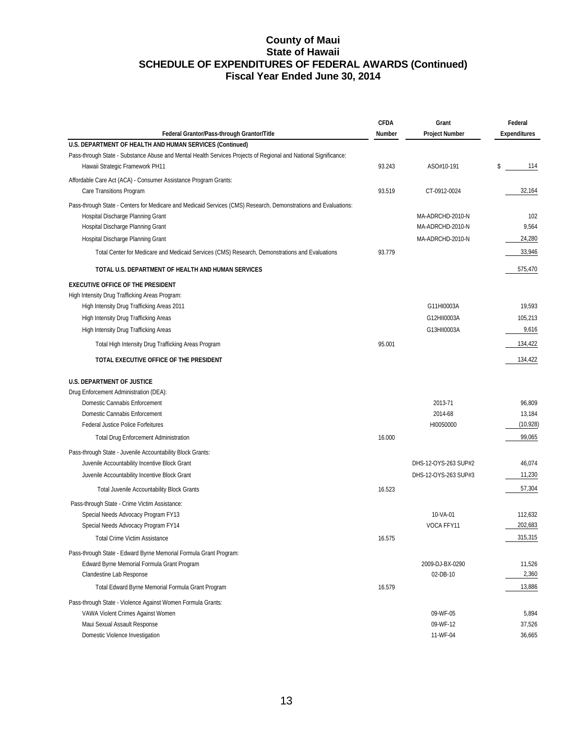|                                                                                                                 | <b>CFDA</b> | Grant                 | Federal             |
|-----------------------------------------------------------------------------------------------------------------|-------------|-----------------------|---------------------|
| Federal Grantor/Pass-through Grantor/Title<br>U.S. DEPARTMENT OF HEALTH AND HUMAN SERVICES (Continued)          | Number      | <b>Project Number</b> | <b>Expenditures</b> |
| Pass-through State - Substance Abuse and Mental Health Services Projects of Regional and National Significance: |             |                       |                     |
| Hawaii Strategic Framework PH11                                                                                 | 93.243      | ASO#10-191            | \$<br>114           |
| Affordable Care Act (ACA) - Consumer Assistance Program Grants:                                                 |             |                       |                     |
| Care Transitions Program                                                                                        | 93.519      | CT-0912-0024          | 32,164              |
| Pass-through State - Centers for Medicare and Medicaid Services (CMS) Research, Demonstrations and Evaluations: |             |                       |                     |
| Hospital Discharge Planning Grant                                                                               |             | MA-ADRCHD-2010-N      | 102                 |
| Hospital Discharge Planning Grant                                                                               |             | MA-ADRCHD-2010-N      | 9,564               |
| Hospital Discharge Planning Grant                                                                               |             | MA-ADRCHD-2010-N      | 24,280              |
| Total Center for Medicare and Medicaid Services (CMS) Research, Demonstrations and Evaluations                  | 93.779      |                       | 33,946              |
| TOTAL U.S. DEPARTMENT OF HEALTH AND HUMAN SERVICES                                                              |             |                       | 575,470             |
| <b>EXECUTIVE OFFICE OF THE PRESIDENT</b>                                                                        |             |                       |                     |
| High Intensity Drug Trafficking Areas Program:                                                                  |             |                       |                     |
| High Intensity Drug Trafficking Areas 2011                                                                      |             | G11HI0003A            | 19,593              |
| High Intensity Drug Trafficking Areas                                                                           |             | G12HII0003A           | 105,213             |
| High Intensity Drug Trafficking Areas                                                                           |             | G13HII0003A           | 9,616               |
| Total High Intensity Drug Trafficking Areas Program                                                             | 95.001      |                       | 134,422             |
| TOTAL EXECUTIVE OFFICE OF THE PRESIDENT                                                                         |             |                       | 134,422             |
| <b>U.S. DEPARTMENT OF JUSTICE</b>                                                                               |             |                       |                     |
| Drug Enforcement Administration (DEA):                                                                          |             |                       |                     |
| Domestic Cannabis Enforcement                                                                                   |             | 2013-71               | 96,809              |
| Domestic Cannabis Enforcement                                                                                   |             | 2014-68               | 13,184              |
| <b>Federal Justice Police Forfeitures</b>                                                                       |             | HI0050000             | (10, 928)           |
| <b>Total Drug Enforcement Administration</b>                                                                    | 16.000      |                       | 99,065              |
| Pass-through State - Juvenile Accountability Block Grants:                                                      |             |                       |                     |
| Juvenile Accountability Incentive Block Grant                                                                   |             | DHS-12-OYS-263 SUP#2  | 46,074              |
| Juvenile Accountability Incentive Block Grant                                                                   |             | DHS-12-OYS-263 SUP#3  | 11,230              |
| <b>Total Juvenile Accountability Block Grants</b>                                                               | 16.523      |                       | 57,304              |
| Pass-through State - Crime Victim Assistance:                                                                   |             |                       |                     |
| Special Needs Advocacy Program FY13                                                                             |             | 10-VA-01              | 112,632             |
| Special Needs Advocacy Program FY14                                                                             |             | VOCA FFY11            | 202,683             |
| <b>Total Crime Victim Assistance</b>                                                                            | 16.575      |                       | 315,315             |
| Pass-through State - Edward Byrne Memorial Formula Grant Program:                                               |             |                       |                     |
| Edward Byrne Memorial Formula Grant Program                                                                     |             | 2009-DJ-BX-0290       | 11,526              |
| Clandestine Lab Response                                                                                        |             | 02-DB-10              | 2,360               |
| Total Edward Byrne Memorial Formula Grant Program                                                               | 16.579      |                       | 13,886              |
| Pass-through State - Violence Against Women Formula Grants:                                                     |             |                       |                     |
| VAWA Violent Crimes Against Women                                                                               |             | 09-WF-05              | 5,894               |
| Maui Sexual Assault Response                                                                                    |             | 09-WF-12              | 37,526              |
| Domestic Violence Investigation                                                                                 |             | 11-WF-04              | 36,665              |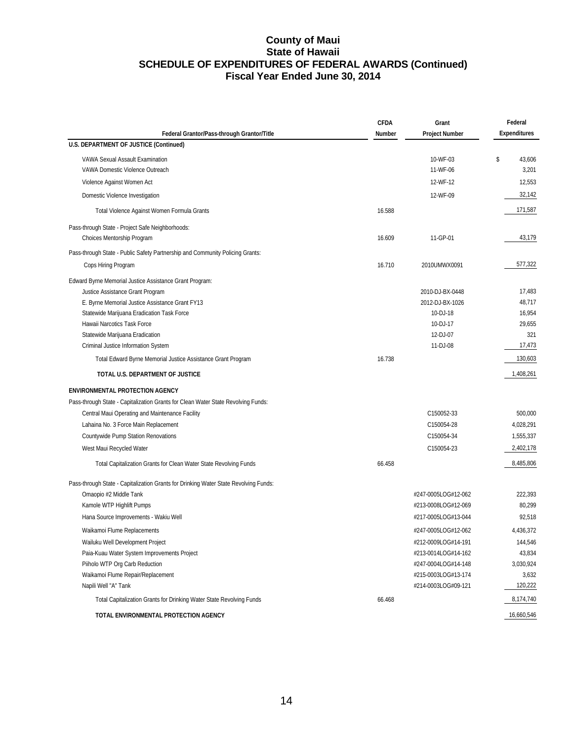|                                                                                      | <b>CFDA</b> | Grant                 | Federal             |
|--------------------------------------------------------------------------------------|-------------|-----------------------|---------------------|
| Federal Grantor/Pass-through Grantor/Title                                           | Number      | <b>Project Number</b> | <b>Expenditures</b> |
| U.S. DEPARTMENT OF JUSTICE (Continued)                                               |             |                       |                     |
| VAWA Sexual Assault Examination                                                      |             | 10-WF-03              | \$<br>43,606        |
| VAWA Domestic Violence Outreach                                                      |             | 11-WF-06              | 3,201               |
| Violence Against Women Act                                                           |             | 12-WF-12              | 12,553              |
| Domestic Violence Investigation                                                      |             | 12-WF-09              | 32,142              |
| Total Violence Against Women Formula Grants                                          | 16.588      |                       | 171,587             |
| Pass-through State - Project Safe Neighborhoods:                                     |             |                       |                     |
| Choices Mentorship Program                                                           | 16.609      | 11-GP-01              | 43,179              |
| Pass-through State - Public Safety Partnership and Community Policing Grants:        |             |                       |                     |
| Cops Hiring Program                                                                  | 16.710      | 2010UMWX0091          | 577,322             |
| Edward Byrne Memorial Justice Assistance Grant Program:                              |             |                       |                     |
| Justice Assistance Grant Program                                                     |             | 2010-DJ-BX-0448       | 17,483              |
| E. Byrne Memorial Justice Assistance Grant FY13                                      |             | 2012-DJ-BX-1026       | 48,717              |
| Statewide Marijuana Eradication Task Force                                           |             | 10-DJ-18              | 16,954              |
| Hawaii Narcotics Task Force                                                          |             | 10-DJ-17              | 29,655              |
| Statewide Marijuana Eradication                                                      |             | 12-DJ-07              | 321                 |
| Criminal Justice Information System                                                  |             | 11-DJ-08              | 17,473              |
| Total Edward Byrne Memorial Justice Assistance Grant Program                         | 16.738      |                       | 130,603             |
| TOTAL U.S. DEPARTMENT OF JUSTICE                                                     |             |                       | 1,408,261           |
| ENVIRONMENTAL PROTECTION AGENCY                                                      |             |                       |                     |
| Pass-through State - Capitalization Grants for Clean Water State Revolving Funds:    |             |                       |                     |
| Central Maui Operating and Maintenance Facility                                      |             | C150052-33            | 500,000             |
| Lahaina No. 3 Force Main Replacement                                                 |             | C150054-28            | 4,028,291           |
| Countywide Pump Station Renovations                                                  |             | C150054-34            | 1,555,337           |
| West Maui Recycled Water                                                             |             | C150054-23            | 2,402,178           |
| Total Capitalization Grants for Clean Water State Revolving Funds                    | 66.458      |                       | 8,485,806           |
| Pass-through State - Capitalization Grants for Drinking Water State Revolving Funds: |             |                       |                     |
| Omaopio #2 Middle Tank                                                               |             | #247-0005LOG#12-062   | 222,393             |
| Kamole WTP Highlift Pumps                                                            |             | #213-0008LOG#12-069   | 80,299              |
| Hana Source Improvements - Wakiu Well                                                |             | #217-0005LOG#13-044   | 92,518              |
| Waikamoi Flume Replacements                                                          |             | #247-0005LOG#12-062   | 4,436,372           |
| Wailuku Well Development Project                                                     |             | #212-0009LOG#14-191   | 144,546             |
| Paia-Kuau Water System Improvements Project                                          |             | #213-0014LOG#14-162   | 43,834              |
| Piiholo WTP Org Carb Reduction                                                       |             | #247-0004LOG#14-148   | 3,030,924           |
| Waikamoi Flume Repair/Replacement                                                    |             | #215-0003LOG#13-174   | 3,632               |
| Napili Well "A" Tank                                                                 |             | #214-0003LOG#09-121   | 120,222             |
| Total Capitalization Grants for Drinking Water State Revolving Funds                 | 66.468      |                       | 8,174,740           |
| TOTAL ENVIRONMENTAL PROTECTION AGENCY                                                |             |                       | 16,660,546          |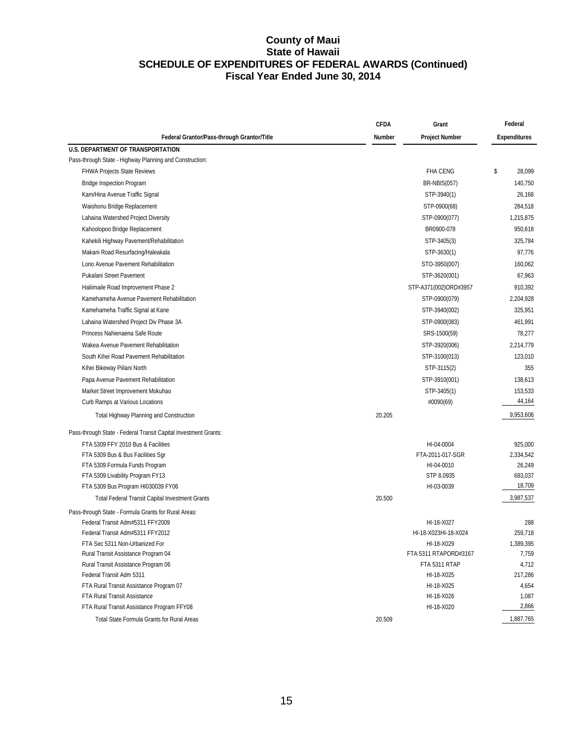|                                                                         | <b>CFDA</b> | Grant                    | Federal             |
|-------------------------------------------------------------------------|-------------|--------------------------|---------------------|
| Federal Grantor/Pass-through Grantor/Title                              | Number      | <b>Project Number</b>    | <b>Expenditures</b> |
| U.S. DEPARTMENT OF TRANSPORTATION                                       |             |                          |                     |
| Pass-through State - Highway Planning and Construction:                 |             |                          |                     |
| <b>FHWA Projects State Reviews</b>                                      |             | <b>FHA CENG</b>          | \$<br>28,099        |
| <b>Bridge Inspection Program</b>                                        |             | BR-NBIS(057)             | 140,750             |
| Kam/Hina Avenue Traffic Signal                                          |             | STP-3940(1)              | 26,168              |
| Waiohonu Bridge Replacement                                             |             | STP-0900(68)             | 284,518             |
| Lahaina Watershed Project Diversity                                     |             | STP-0900(077)            | 1,215,875           |
| Kahoolopoo Bridge Replacement                                           |             | BR0900-078               | 950,618             |
| Kahekili Highway Pavement/Rehabilitation                                |             | STP-3405(3)              | 325,784             |
| Makani Road Resurfacing/Haleakala                                       |             | STP-3630(1)              | 97,776              |
| Lono Avenue Pavement Rehabilitation                                     |             | STO-3950(007)            | 160,062             |
| Pukalani Street Pavement                                                |             | STP-3620(001)            | 67,963              |
| Haliimaile Road Improvement Phase 2                                     |             | STP-A371(002)ORD#3957    | 910,392             |
| Kamehameha Avenue Pavement Rehabilitation                               |             | STP-0900(079)            | 2,204,928           |
| Kamehameha Traffic Signal at Kane                                       |             | STP-3940(002)            | 325,951             |
| Lahaina Watershed Project Div Phase 3A                                  |             | STP-0900(083)            | 461,991             |
| Princess Nahienaena Safe Route                                          |             |                          | 78,277              |
| Wakea Avenue Pavement Rehabilitation                                    |             | SRS-1500(59)             |                     |
|                                                                         |             | STP-3920(006)            | 2,214,779           |
| South Kihei Road Pavement Rehabilitation                                |             | STP-3100(013)            | 123,010             |
| Kihei Bikeway Piilani North                                             |             | STP-3115(2)              | 355                 |
| Papa Avenue Pavement Rehabilitation                                     |             | STP-3910(001)            | 138,613             |
| Market Street Improvement Mokuhao                                       |             | STP-3405(1)              | 153,533             |
| Curb Ramps at Various Locations                                         |             | #0090(69)                | 44,164              |
| Total Highway Planning and Construction                                 | 20.205      |                          | 9,953,606           |
| Pass-through State - Federal Transit Capital Investment Grants:         |             |                          |                     |
| FTA 5309 FFY 2010 Bus & Facilities                                      |             | HI-04-0004               | 925,000             |
| FTA 5309 Bus & Bus Facilities Sgr                                       |             | FTA-2011-017-SGR         | 2,334,542           |
| FTA 5309 Formula Funds Program                                          |             | HI-04-0010               | 26,249              |
| FTA 5309 Livability Program FY13                                        |             | STP 8.0935               | 683,037             |
| FTA 5309 Bus Program HI030039 FY06                                      |             | HI-03-0039               | 18,709              |
| <b>Total Federal Transit Capital Investment Grants</b>                  | 20.500      |                          | 3,987,537           |
| Pass-through State - Formula Grants for Rural Areas:                    |             |                          |                     |
| Federal Transit Adm#5311 FFY2009                                        |             | HI-18-X027               | 288                 |
| Federal Transit Adm#5311 FFY2012                                        |             | HI-18-X023HI-18-X024     | 259,718             |
| FTA Sec 5311 Non-Urbanized For                                          |             | HI-18-X029               | 1,389,395           |
| Rural Transit Assistance Program 04                                     |             | FTA 5311 RTAPORD#3167    | 7,759               |
| Rural Transit Assistance Program 06                                     |             | FTA 5311 RTAP            | 4,712               |
| Federal Transit Adm 5311                                                |             | HI-18-X025               | 217,286             |
| FTA Rural Transit Assistance Program 07<br>FTA Rural Transit Assistance |             | HI-18-X025<br>HI-18-X026 | 4,654<br>1,087      |
| FTA Rural Transit Assistance Program FFY08                              |             | HI-18-X020               | 2,866               |
|                                                                         |             |                          | 1,887,765           |
| Total State Formula Grants for Rural Areas                              | 20.509      |                          |                     |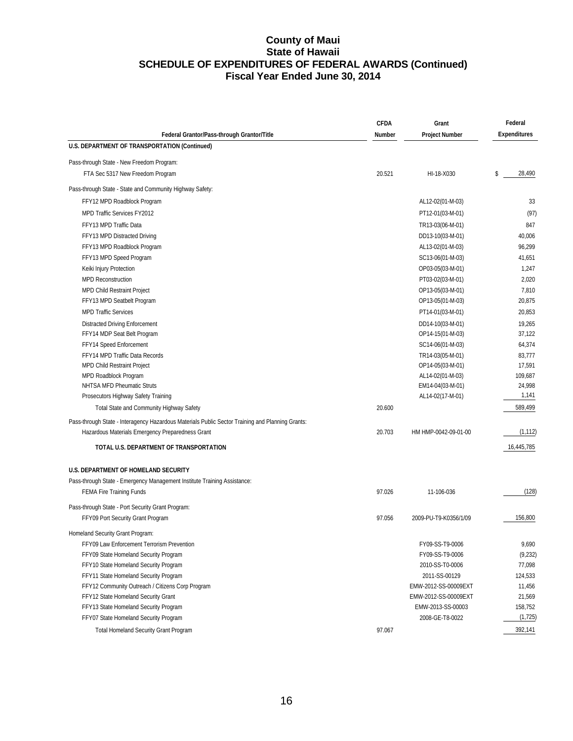|                                                                                                  | <b>CFDA</b> | Grant                 | Federal             |
|--------------------------------------------------------------------------------------------------|-------------|-----------------------|---------------------|
| Federal Grantor/Pass-through Grantor/Title                                                       | Number      | <b>Project Number</b> | <b>Expenditures</b> |
| U.S. DEPARTMENT OF TRANSPORTATION (Continued)                                                    |             |                       |                     |
| Pass-through State - New Freedom Program:                                                        |             |                       |                     |
| FTA Sec 5317 New Freedom Program                                                                 | 20.521      | HI-18-X030            | 28,490<br>\$        |
| Pass-through State - State and Community Highway Safety:                                         |             |                       |                     |
| FFY12 MPD Roadblock Program                                                                      |             | AL12-02(01-M-03)      | 33                  |
| MPD Traffic Services FY2012                                                                      |             | PT12-01(03-M-01)      | (97)                |
| FFY13 MPD Traffic Data                                                                           |             | TR13-03(06-M-01)      | 847                 |
| FFY13 MPD Distracted Driving                                                                     |             | DD13-10(03-M-01)      | 40,006              |
| FFY13 MPD Roadblock Program                                                                      |             | AL13-02(01-M-03)      | 96,299              |
| FFY13 MPD Speed Program                                                                          |             | SC13-06(01-M-03)      | 41,651              |
| Keiki Injury Protection                                                                          |             | OP03-05(03-M-01)      | 1,247               |
| <b>MPD Reconstruction</b>                                                                        |             | PT03-02(03-M-01)      | 2,020               |
| MPD Child Restraint Project                                                                      |             | OP13-05(03-M-01)      | 7,810               |
| FFY13 MPD Seatbelt Program                                                                       |             | OP13-05(01-M-03)      | 20,875              |
| <b>MPD Traffic Services</b>                                                                      |             | PT14-01(03-M-01)      | 20,853              |
| Distracted Driving Enforcement                                                                   |             | DD14-10(03-M-01)      | 19,265              |
| FFY14 MDP Seat Belt Program                                                                      |             | OP14-15(01-M-03)      | 37,122              |
| FFY14 Speed Enforcement                                                                          |             | SC14-06(01-M-03)      | 64,374              |
| FFY14 MPD Traffic Data Records                                                                   |             | TR14-03(05-M-01)      | 83,777              |
| MPD Child Restraint Project                                                                      |             | OP14-05(03-M-01)      | 17,591              |
| MPD Roadblock Program                                                                            |             | AL14-02(01-M-03)      | 109,687             |
| <b>NHTSA MFD Pheumatic Struts</b>                                                                |             | EM14-04(03-M-01)      | 24,998              |
| Prosecutors Highway Safety Training                                                              |             | AL14-02(17-M-01)      | 1,141               |
| Total State and Community Highway Safety                                                         | 20.600      |                       | 589,499             |
| Pass-through State - Interagency Hazardous Materials Public Sector Training and Planning Grants: |             |                       |                     |
| Hazardous Materials Emergency Preparedness Grant                                                 | 20.703      | HM HMP-0042-09-01-00  | (1, 112)            |
| TOTAL U.S. DEPARTMENT OF TRANSPORTATION                                                          |             |                       | 16,445,785          |
| U.S. DEPARTMENT OF HOMELAND SECURITY                                                             |             |                       |                     |
| Pass-through State - Emergency Management Institute Training Assistance:                         |             |                       |                     |
| FEMA Fire Training Funds                                                                         | 97.026      | 11-106-036            | (128)               |
| Pass-through State - Port Security Grant Program:                                                |             |                       |                     |
| FFY09 Port Security Grant Program                                                                | 97.056      | 2009-PU-T9-K0356/1/09 | 156,800             |
| Homeland Security Grant Program:                                                                 |             |                       |                     |
| FFY09 Law Enforcement Terrorism Prevention                                                       |             | FY09-SS-T9-0006       | 9,690               |
| FFY09 State Homeland Security Program                                                            |             | FY09-SS-T9-0006       | (9, 232)            |
| FFY10 State Homeland Security Program                                                            |             | 2010-SS-T0-0006       | 77,098              |
| FFY11 State Homeland Security Program                                                            |             | 2011-SS-00129         | 124,533             |
| FFY12 Community Outreach / Citizens Corp Program                                                 |             | EMW-2012-SS-00009EXT  | 11,456              |
| FFY12 State Homeland Security Grant                                                              |             | EMW-2012-SS-00009EXT  | 21,569              |
| FFY13 State Homeland Security Program                                                            |             | EMW-2013-SS-00003     | 158,752             |
| FFY07 State Homeland Security Program                                                            |             | 2008-GE-T8-0022       | (1, 725)            |
| <b>Total Homeland Security Grant Program</b>                                                     | 97.067      |                       | 392,141             |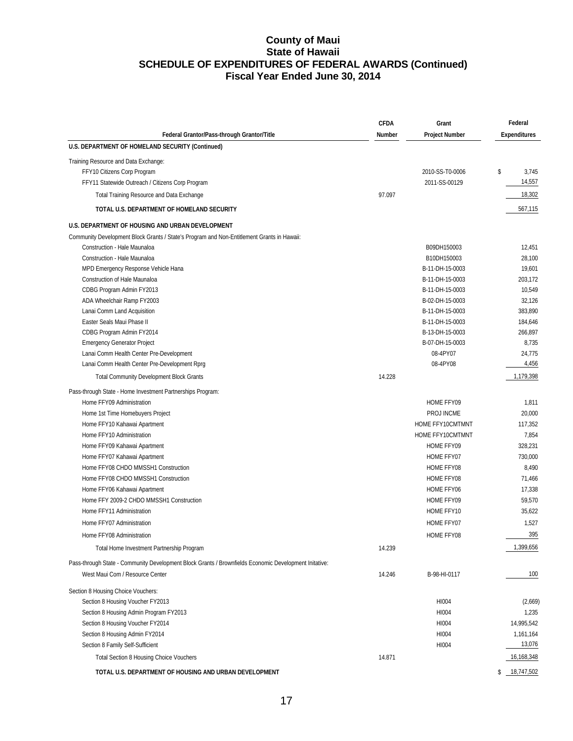|                                                                                                       | <b>CFDA</b> | Grant                 | Federal             |
|-------------------------------------------------------------------------------------------------------|-------------|-----------------------|---------------------|
| Federal Grantor/Pass-through Grantor/Title<br>U.S. DEPARTMENT OF HOMELAND SECURITY (Continued)        | Number      | <b>Project Number</b> | <b>Expenditures</b> |
|                                                                                                       |             |                       |                     |
| Training Resource and Data Exchange:                                                                  |             |                       |                     |
| FFY10 Citizens Corp Program                                                                           |             | 2010-SS-T0-0006       | \$<br>3,745         |
| FFY11 Statewide Outreach / Citizens Corp Program                                                      |             | 2011-SS-00129         | 14,557              |
| Total Training Resource and Data Exchange                                                             | 97.097      |                       | 18,302              |
| TOTAL U.S. DEPARTMENT OF HOMELAND SECURITY                                                            |             |                       | 567,115             |
| U.S. DEPARTMENT OF HOUSING AND URBAN DEVELOPMENT                                                      |             |                       |                     |
| Community Development Block Grants / State's Program and Non-Entitlement Grants in Hawaii:            |             |                       |                     |
| Construction - Hale Maunaloa                                                                          |             | B09DH150003           | 12,451              |
| Construction - Hale Maunaloa                                                                          |             | B10DH150003           | 28,100              |
| MPD Emergency Response Vehicle Hana                                                                   |             | B-11-DH-15-0003       | 19,601              |
| Construction of Hale Maunaloa                                                                         |             | B-11-DH-15-0003       | 203,172             |
| CDBG Program Admin FY2013                                                                             |             | B-11-DH-15-0003       | 10,549              |
| ADA Wheelchair Ramp FY2003                                                                            |             | B-02-DH-15-0003       | 32,126              |
| Lanai Comm Land Acquisition                                                                           |             | B-11-DH-15-0003       | 383,890             |
| Easter Seals Maui Phase II                                                                            |             | B-11-DH-15-0003       | 184,646             |
| CDBG Program Admin FY2014                                                                             |             | B-13-DH-15-0003       | 266,897             |
| <b>Emergency Generator Project</b>                                                                    |             | B-07-DH-15-0003       | 8,735               |
| Lanai Comm Health Center Pre-Development                                                              |             | 08-4PY07              | 24,775              |
| Lanai Comm Health Center Pre-Development Rprg                                                         |             | 08-4PY08              | 4,456               |
| <b>Total Community Development Block Grants</b>                                                       | 14.228      |                       | 1,179,398           |
| Pass-through State - Home Investment Partnerships Program:                                            |             |                       |                     |
| Home FFY09 Administration                                                                             |             | HOME FFY09            | 1,811               |
| Home 1st Time Homebuyers Project                                                                      |             | <b>PROJ INCME</b>     | 20,000              |
| Home FFY10 Kahawai Apartment                                                                          |             | HOME FFY10CMTMNT      | 117,352             |
| Home FFY10 Administration                                                                             |             | HOME FFY10CMTMNT      | 7,854               |
| Home FFY09 Kahawai Apartment                                                                          |             | HOME FFY09            | 328,231             |
| Home FFY07 Kahawai Apartment                                                                          |             | HOME FFY07            | 730,000             |
| Home FFY08 CHDO MMSSH1 Construction                                                                   |             | HOME FFY08            | 8,490               |
| Home FFY08 CHDO MMSSH1 Construction                                                                   |             | HOME FFY08            | 71,466              |
| Home FFY06 Kahawai Apartment                                                                          |             | HOME FFY06            | 17,338              |
| Home FFY 2009-2 CHDO MMSSH1 Construction                                                              |             | HOME FFY09            | 59,570              |
| Home FFY11 Administration                                                                             |             | HOME FFY10            | 35,622              |
| Home FFY07 Administration                                                                             |             | HOME FFY07            | 1,527               |
| Home FFY08 Administration                                                                             |             | HOME FFY08            | 395                 |
| Total Home Investment Partnership Program                                                             | 14.239      |                       | 1,399,656           |
| Pass-through State - Community Development Block Grants / Brownfields Economic Development Initative: |             |                       |                     |
| West Maui Com / Resource Center                                                                       | 14.246      | B-98-HI-0117          | 100                 |
| Section 8 Housing Choice Vouchers:                                                                    |             |                       |                     |
| Section 8 Housing Voucher FY2013                                                                      |             | HI004                 | (2,669)             |
| Section 8 Housing Admin Program FY2013                                                                |             | HI004                 | 1,235               |
| Section 8 Housing Voucher FY2014                                                                      |             | HI004                 | 14,995,542          |
| Section 8 Housing Admin FY2014                                                                        |             | HI004                 | 1,161,164           |
| Section 8 Family Self-Sufficient                                                                      |             | HI004                 | 13,076              |
| Total Section 8 Housing Choice Vouchers                                                               | 14.871      |                       | 16,168,348          |
| TOTAL U.S. DEPARTMENT OF HOUSING AND URBAN DEVELOPMENT                                                |             |                       | 18,747,502<br>\$    |
|                                                                                                       |             |                       |                     |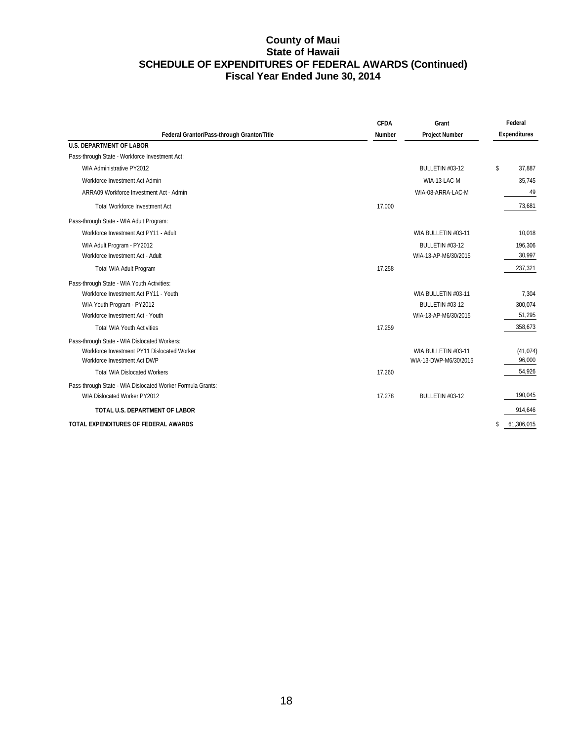|                                                            | <b>CFDA</b> | Grant                  | Federal             |
|------------------------------------------------------------|-------------|------------------------|---------------------|
| Federal Grantor/Pass-through Grantor/Title                 | Number      | <b>Project Number</b>  | Expenditures        |
| <b>U.S. DEPARTMENT OF LABOR</b>                            |             |                        |                     |
| Pass-through State - Workforce Investment Act:             |             |                        |                     |
| WIA Administrative PY2012                                  |             | BULLETIN #03-12        | \$<br>37,887        |
| Workforce Investment Act Admin                             |             | WIA-13-LAC-M           | 35,745              |
| ARRA09 Workforce Investment Act - Admin                    |             | WIA-08-ARRA-LAC-M      | 49                  |
| <b>Total Workforce Investment Act</b>                      | 17.000      |                        | 73,681              |
| Pass-through State - WIA Adult Program:                    |             |                        |                     |
| Workforce Investment Act PY11 - Adult                      |             | WIA BULLETIN #03-11    | 10,018              |
| WIA Adult Program - PY2012                                 |             | BULLETIN #03-12        | 196,306             |
| Workforce Investment Act - Adult                           |             | WIA-13-AP-M6/30/2015   | 30,997              |
| Total WIA Adult Program                                    | 17.258      |                        | 237,321             |
| Pass-through State - WIA Youth Activities:                 |             |                        |                     |
| Workforce Investment Act PY11 - Youth                      |             | WIA BULLETIN #03-11    | 7,304               |
| WIA Youth Program - PY2012                                 |             | BULLETIN #03-12        | 300,074             |
| Workforce Investment Act - Youth                           |             | WIA-13-AP-M6/30/2015   | 51,295              |
| <b>Total WIA Youth Activities</b>                          | 17.259      |                        | 358,673             |
| Pass-through State - WIA Dislocated Workers:               |             |                        |                     |
| Workforce Investment PY11 Dislocated Worker                |             | WIA BULLETIN #03-11    | (41, 074)<br>96,000 |
| Workforce Investment Act DWP                               |             | WIA-13-DWP-M6/30/2015  |                     |
| <b>Total WIA Dislocated Workers</b>                        | 17.260      |                        | 54,926              |
| Pass-through State - WIA Dislocated Worker Formula Grants: |             |                        |                     |
| WIA Dislocated Worker PY2012                               | 17.278      | <b>BULLETIN #03-12</b> | 190,045             |
| TOTAL U.S. DEPARTMENT OF LABOR                             |             |                        | 914,646             |
| TOTAL EXPENDITURES OF FEDERAL AWARDS                       |             |                        | \$<br>61,306,015    |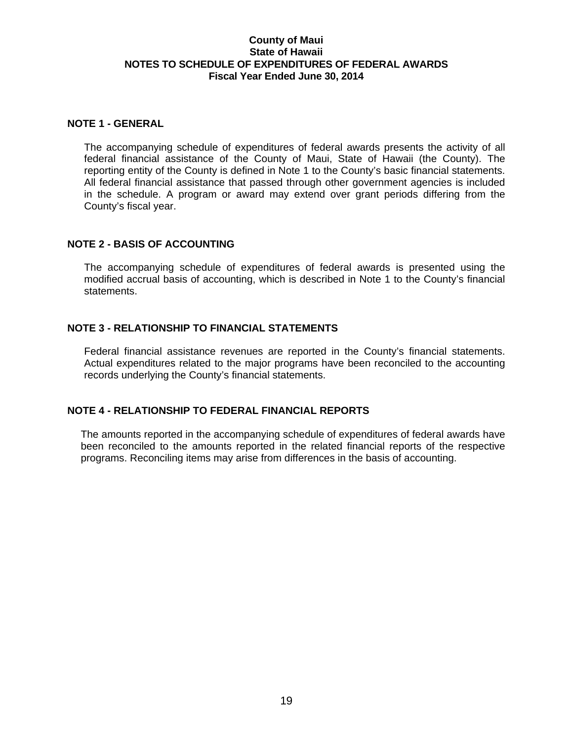#### **NOTE 1 - GENERAL**

 The accompanying schedule of expenditures of federal awards presents the activity of all federal financial assistance of the County of Maui, State of Hawaii (the County). The reporting entity of the County is defined in Note 1 to the County's basic financial statements. All federal financial assistance that passed through other government agencies is included in the schedule. A program or award may extend over grant periods differing from the County's fiscal year.

## **NOTE 2 - BASIS OF ACCOUNTING**

 The accompanying schedule of expenditures of federal awards is presented using the modified accrual basis of accounting, which is described in Note 1 to the County's financial statements.

## **NOTE 3 - RELATIONSHIP TO FINANCIAL STATEMENTS**

 Federal financial assistance revenues are reported in the County's financial statements. Actual expenditures related to the major programs have been reconciled to the accounting records underlying the County's financial statements.

## **NOTE 4 - RELATIONSHIP TO FEDERAL FINANCIAL REPORTS**

The amounts reported in the accompanying schedule of expenditures of federal awards have been reconciled to the amounts reported in the related financial reports of the respective programs. Reconciling items may arise from differences in the basis of accounting.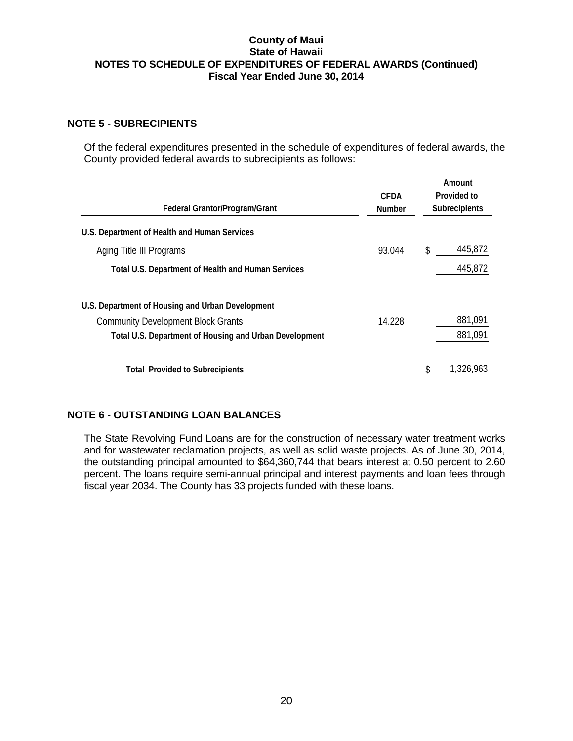## **NOTE 5 - SUBRECIPIENTS**

 Of the federal expenditures presented in the schedule of expenditures of federal awards, the County provided federal awards to subrecipients as follows:

| Federal Grantor/Program/Grant                                                                          | <b>CFDA</b><br><b>Number</b> | Amount<br>Provided to<br>Subrecipients |
|--------------------------------------------------------------------------------------------------------|------------------------------|----------------------------------------|
| U.S. Department of Health and Human Services<br>Aging Title III Programs                               | 93.044                       | \$<br>445,872                          |
| Total U.S. Department of Health and Human Services<br>U.S. Department of Housing and Urban Development |                              | 445,872                                |
| <b>Community Development Block Grants</b><br>Total U.S. Department of Housing and Urban Development    | 14.228                       | 881,091<br>881,091                     |
| <b>Total Provided to Subrecipients</b>                                                                 |                              | 1.326.963                              |

## **NOTE 6 - OUTSTANDING LOAN BALANCES**

 The State Revolving Fund Loans are for the construction of necessary water treatment works and for wastewater reclamation projects, as well as solid waste projects. As of June 30, 2014, the outstanding principal amounted to \$64,360,744 that bears interest at 0.50 percent to 2.60 percent. The loans require semi-annual principal and interest payments and loan fees through fiscal year 2034. The County has 33 projects funded with these loans.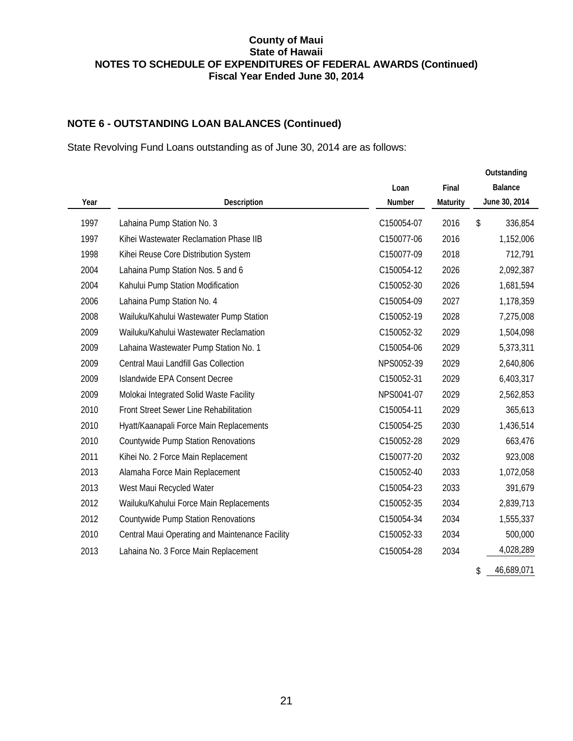# **NOTE 6 - OUTSTANDING LOAN BALANCES (Continued)**

State Revolving Fund Loans outstanding as of June 30, 2014 are as follows:

|      |                                                 |            |          | Outstanding    |
|------|-------------------------------------------------|------------|----------|----------------|
|      |                                                 | Loan       | Final    | <b>Balance</b> |
| Year | Description                                     | Number     | Maturity | June 30, 2014  |
| 1997 | Lahaina Pump Station No. 3                      | C150054-07 | 2016     | \$<br>336,854  |
| 1997 | Kihei Wastewater Reclamation Phase IIB          | C150077-06 | 2016     | 1,152,006      |
| 1998 | Kihei Reuse Core Distribution System            | C150077-09 | 2018     | 712,791        |
| 2004 | Lahaina Pump Station Nos. 5 and 6               | C150054-12 | 2026     | 2,092,387      |
| 2004 | Kahului Pump Station Modification               | C150052-30 | 2026     | 1,681,594      |
| 2006 | Lahaina Pump Station No. 4                      | C150054-09 | 2027     | 1,178,359      |
| 2008 | Wailuku/Kahului Wastewater Pump Station         | C150052-19 | 2028     | 7,275,008      |
| 2009 | Wailuku/Kahului Wastewater Reclamation          | C150052-32 | 2029     | 1,504,098      |
| 2009 | Lahaina Wastewater Pump Station No. 1           | C150054-06 | 2029     | 5,373,311      |
| 2009 | Central Maui Landfill Gas Collection            | NPS0052-39 | 2029     | 2,640,806      |
| 2009 | Islandwide EPA Consent Decree                   | C150052-31 | 2029     | 6,403,317      |
| 2009 | Molokai Integrated Solid Waste Facility         | NPS0041-07 | 2029     | 2,562,853      |
| 2010 | Front Street Sewer Line Rehabilitation          | C150054-11 | 2029     | 365,613        |
| 2010 | Hyatt/Kaanapali Force Main Replacements         | C150054-25 | 2030     | 1,436,514      |
| 2010 | <b>Countywide Pump Station Renovations</b>      | C150052-28 | 2029     | 663,476        |
| 2011 | Kihei No. 2 Force Main Replacement              | C150077-20 | 2032     | 923,008        |
| 2013 | Alamaha Force Main Replacement                  | C150052-40 | 2033     | 1,072,058      |
| 2013 | West Maui Recycled Water                        | C150054-23 | 2033     | 391,679        |
| 2012 | Wailuku/Kahului Force Main Replacements         | C150052-35 | 2034     | 2,839,713      |
| 2012 | <b>Countywide Pump Station Renovations</b>      | C150054-34 | 2034     | 1,555,337      |
| 2010 | Central Maui Operating and Maintenance Facility | C150052-33 | 2034     | 500,000        |
| 2013 | Lahaina No. 3 Force Main Replacement            | C150054-28 | 2034     | 4,028,289      |

\$ 46,689,071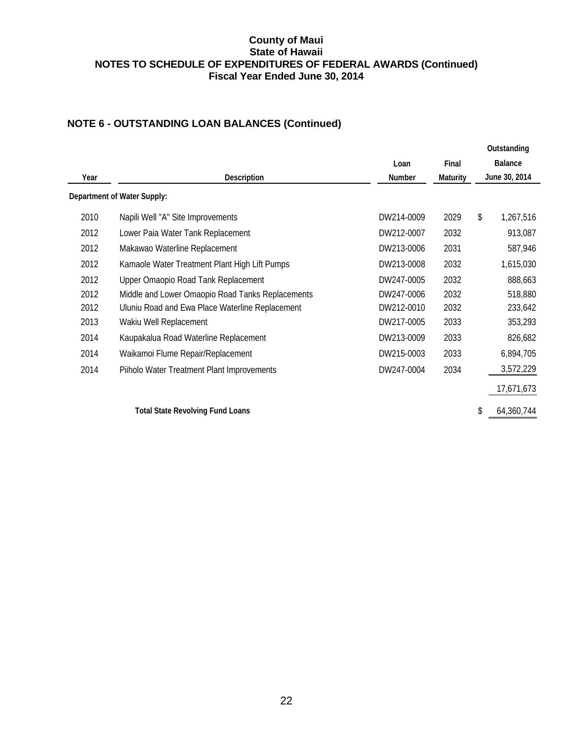# **NOTE 6 - OUTSTANDING LOAN BALANCES (Continued)**

|      |                                                  |            |                 |               | Outstanding    |
|------|--------------------------------------------------|------------|-----------------|---------------|----------------|
|      |                                                  | Loan       | Final           |               | <b>Balance</b> |
| Year | <b>Description</b>                               | Number     | <b>Maturity</b> | June 30, 2014 |                |
|      | Department of Water Supply:                      |            |                 |               |                |
| 2010 | Napili Well "A" Site Improvements                | DW214-0009 | 2029            | \$            | 1,267,516      |
| 2012 | Lower Paia Water Tank Replacement                | DW212-0007 | 2032            |               | 913,087        |
| 2012 | Makawao Waterline Replacement                    | DW213-0006 | 2031            |               | 587,946        |
| 2012 | Kamaole Water Treatment Plant High Lift Pumps    | DW213-0008 | 2032            |               | 1,615,030      |
| 2012 | Upper Omaopio Road Tank Replacement              | DW247-0005 | 2032            |               | 888,663        |
| 2012 | Middle and Lower Omaopio Road Tanks Replacements | DW247-0006 | 2032            |               | 518,880        |
| 2012 | Uluniu Road and Ewa Place Waterline Replacement  | DW212-0010 | 2032            |               | 233,642        |
| 2013 | Wakiu Well Replacement                           | DW217-0005 | 2033            |               | 353,293        |
| 2014 | Kaupakalua Road Waterline Replacement            | DW213-0009 | 2033            |               | 826,682        |
| 2014 | Waikamoi Flume Repair/Replacement                | DW215-0003 | 2033            |               | 6,894,705      |
| 2014 | Piiholo Water Treatment Plant Improvements       | DW247-0004 | 2034            |               | 3,572,229      |
|      |                                                  |            |                 |               | 17,671,673     |
|      | <b>Total State Revolving Fund Loans</b>          |            |                 | \$            | 64,360,744     |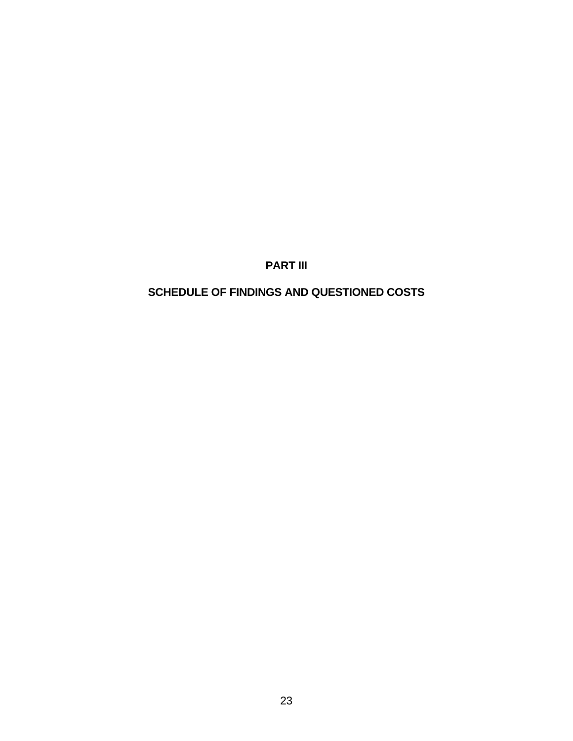**PART III** 

# **SCHEDULE OF FINDINGS AND QUESTIONED COSTS**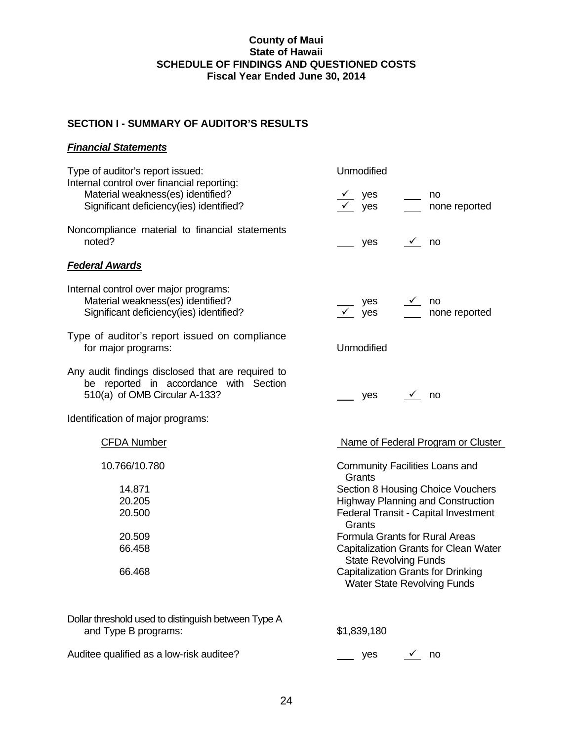## **SECTION I - SUMMARY OF AUDITOR'S RESULTS**

# *Financial Statements*

| Type of auditor's report issued:<br>Internal control over financial reporting:<br>Material weakness(es) identified?<br>Significant deficiency(ies) identified? | Unmodified<br>yes<br>no<br>yes<br>none reported                                 |
|----------------------------------------------------------------------------------------------------------------------------------------------------------------|---------------------------------------------------------------------------------|
| Noncompliance material to financial statements<br>noted?                                                                                                       | yes<br>$\checkmark$<br>no                                                       |
| <b>Federal Awards</b>                                                                                                                                          |                                                                                 |
| Internal control over major programs:<br>Material weakness(es) identified?<br>Significant deficiency(ies) identified?                                          | no<br>yes<br>$\checkmark$<br>yes<br>none reported                               |
| Type of auditor's report issued on compliance<br>for major programs:                                                                                           | Unmodified                                                                      |
| Any audit findings disclosed that are required to<br>be reported in accordance with Section<br>510(a) of OMB Circular A-133?                                   | yes<br>$\checkmark$<br>no                                                       |
| Identification of major programs:                                                                                                                              |                                                                                 |
| <b>CFDA Number</b>                                                                                                                                             | Name of Federal Program or Cluster                                              |
| 10.766/10.780                                                                                                                                                  | <b>Community Facilities Loans and</b><br>Grants                                 |
| 14.871                                                                                                                                                         | Section 8 Housing Choice Vouchers                                               |
| 20.205                                                                                                                                                         | <b>Highway Planning and Construction</b>                                        |
| 20.500                                                                                                                                                         | Federal Transit - Capital Investment<br>Grants                                  |
| 20.509                                                                                                                                                         | <b>Formula Grants for Rural Areas</b>                                           |
| 66.458                                                                                                                                                         | Capitalization Grants for Clean Water                                           |
|                                                                                                                                                                | <b>State Revolving Funds</b>                                                    |
| 66.468                                                                                                                                                         | <b>Capitalization Grants for Drinking</b><br><b>Water State Revolving Funds</b> |
| Dollar threshold used to distinguish between Type A<br>and Type B programs:                                                                                    | \$1,839,180                                                                     |
|                                                                                                                                                                |                                                                                 |

Auditee qualified as a low-risk auditee?  $\qquad \qquad \qquad \qquad \qquad \qquad \qquad \text{yes} \qquad \swarrow \qquad \text{no}$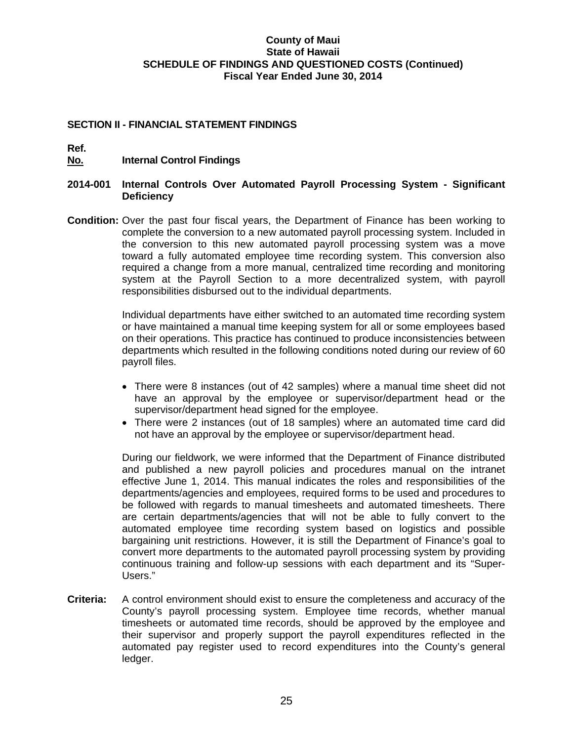#### **SECTION II - FINANCIAL STATEMENT FINDINGS**

**Ref.**

#### **No. Internal Control Findings**

#### **2014-001 Internal Controls Over Automated Payroll Processing System - Significant Deficiency**

**Condition:** Over the past four fiscal years, the Department of Finance has been working to complete the conversion to a new automated payroll processing system. Included in the conversion to this new automated payroll processing system was a move toward a fully automated employee time recording system. This conversion also required a change from a more manual, centralized time recording and monitoring system at the Payroll Section to a more decentralized system, with payroll responsibilities disbursed out to the individual departments.

> Individual departments have either switched to an automated time recording system or have maintained a manual time keeping system for all or some employees based on their operations. This practice has continued to produce inconsistencies between departments which resulted in the following conditions noted during our review of 60 payroll files.

- There were 8 instances (out of 42 samples) where a manual time sheet did not have an approval by the employee or supervisor/department head or the supervisor/department head signed for the employee.
- There were 2 instances (out of 18 samples) where an automated time card did not have an approval by the employee or supervisor/department head.

During our fieldwork, we were informed that the Department of Finance distributed and published a new payroll policies and procedures manual on the intranet effective June 1, 2014. This manual indicates the roles and responsibilities of the departments/agencies and employees, required forms to be used and procedures to be followed with regards to manual timesheets and automated timesheets. There are certain departments/agencies that will not be able to fully convert to the automated employee time recording system based on logistics and possible bargaining unit restrictions. However, it is still the Department of Finance's goal to convert more departments to the automated payroll processing system by providing continuous training and follow-up sessions with each department and its "Super-Users."

**Criteria:** A control environment should exist to ensure the completeness and accuracy of the County's payroll processing system. Employee time records, whether manual timesheets or automated time records, should be approved by the employee and their supervisor and properly support the payroll expenditures reflected in the automated pay register used to record expenditures into the County's general ledger.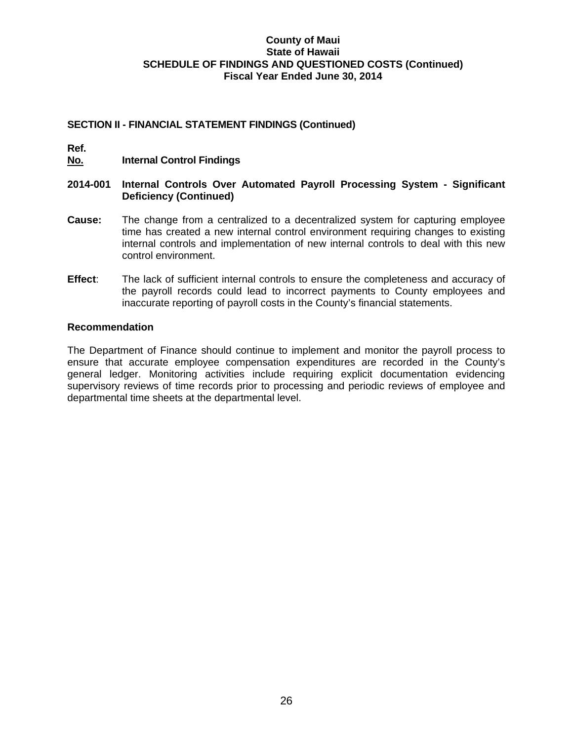#### **SECTION II - FINANCIAL STATEMENT FINDINGS (Continued)**

**Ref.**

#### **No. Internal Control Findings**

- **2014-001 Internal Controls Over Automated Payroll Processing System Significant Deficiency (Continued)**
- **Cause:** The change from a centralized to a decentralized system for capturing employee time has created a new internal control environment requiring changes to existing internal controls and implementation of new internal controls to deal with this new control environment.
- **Effect**: The lack of sufficient internal controls to ensure the completeness and accuracy of the payroll records could lead to incorrect payments to County employees and inaccurate reporting of payroll costs in the County's financial statements.

#### **Recommendation**

The Department of Finance should continue to implement and monitor the payroll process to ensure that accurate employee compensation expenditures are recorded in the County's general ledger. Monitoring activities include requiring explicit documentation evidencing supervisory reviews of time records prior to processing and periodic reviews of employee and departmental time sheets at the departmental level.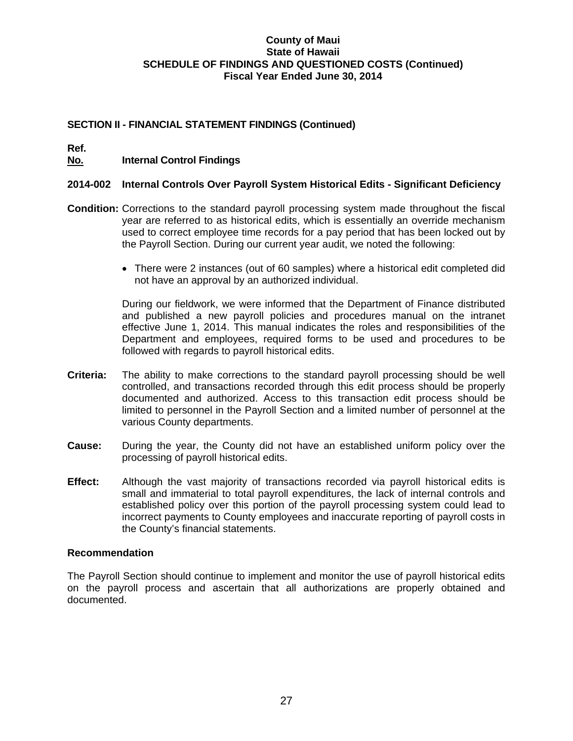#### **SECTION II - FINANCIAL STATEMENT FINDINGS (Continued)**

**Ref.**

#### **No. Internal Control Findings**

#### **2014-002 Internal Controls Over Payroll System Historical Edits - Significant Deficiency**

- **Condition:** Corrections to the standard payroll processing system made throughout the fiscal year are referred to as historical edits, which is essentially an override mechanism used to correct employee time records for a pay period that has been locked out by the Payroll Section. During our current year audit, we noted the following:
	- There were 2 instances (out of 60 samples) where a historical edit completed did not have an approval by an authorized individual.

 During our fieldwork, we were informed that the Department of Finance distributed and published a new payroll policies and procedures manual on the intranet effective June 1, 2014. This manual indicates the roles and responsibilities of the Department and employees, required forms to be used and procedures to be followed with regards to payroll historical edits.

- **Criteria:** The ability to make corrections to the standard payroll processing should be well controlled, and transactions recorded through this edit process should be properly documented and authorized. Access to this transaction edit process should be limited to personnel in the Payroll Section and a limited number of personnel at the various County departments.
- **Cause:** During the year, the County did not have an established uniform policy over the processing of payroll historical edits.
- **Effect:** Although the vast majority of transactions recorded via payroll historical edits is small and immaterial to total payroll expenditures, the lack of internal controls and established policy over this portion of the payroll processing system could lead to incorrect payments to County employees and inaccurate reporting of payroll costs in the County's financial statements.

#### **Recommendation**

The Payroll Section should continue to implement and monitor the use of payroll historical edits on the payroll process and ascertain that all authorizations are properly obtained and documented.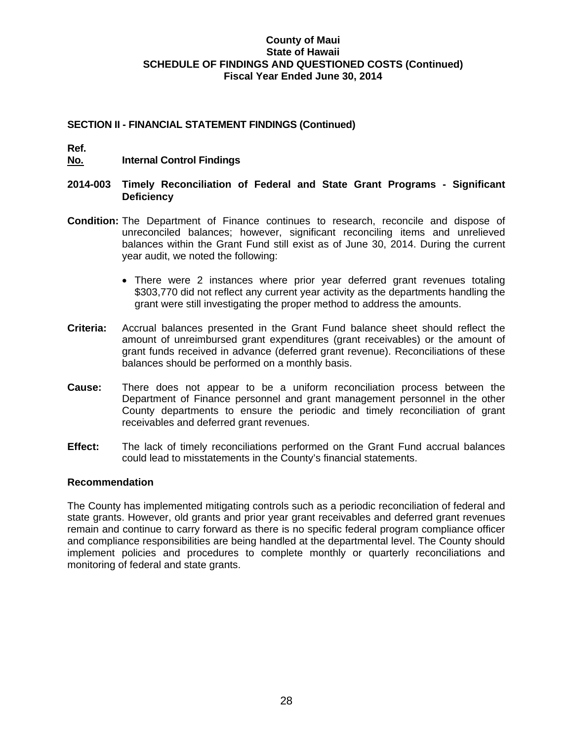#### **SECTION II - FINANCIAL STATEMENT FINDINGS (Continued)**

**Ref.**

#### **No. Internal Control Findings**

#### **2014-003 Timely Reconciliation of Federal and State Grant Programs - Significant Deficiency**

- **Condition:** The Department of Finance continues to research, reconcile and dispose of unreconciled balances; however, significant reconciling items and unrelieved balances within the Grant Fund still exist as of June 30, 2014. During the current year audit, we noted the following:
	- There were 2 instances where prior year deferred grant revenues totaling \$303,770 did not reflect any current year activity as the departments handling the grant were still investigating the proper method to address the amounts.
- **Criteria:** Accrual balances presented in the Grant Fund balance sheet should reflect the amount of unreimbursed grant expenditures (grant receivables) or the amount of grant funds received in advance (deferred grant revenue). Reconciliations of these balances should be performed on a monthly basis.
- **Cause:** There does not appear to be a uniform reconciliation process between the Department of Finance personnel and grant management personnel in the other County departments to ensure the periodic and timely reconciliation of grant receivables and deferred grant revenues.
- **Effect:** The lack of timely reconciliations performed on the Grant Fund accrual balances could lead to misstatements in the County's financial statements.

#### **Recommendation**

The County has implemented mitigating controls such as a periodic reconciliation of federal and state grants. However, old grants and prior year grant receivables and deferred grant revenues remain and continue to carry forward as there is no specific federal program compliance officer and compliance responsibilities are being handled at the departmental level. The County should implement policies and procedures to complete monthly or quarterly reconciliations and monitoring of federal and state grants.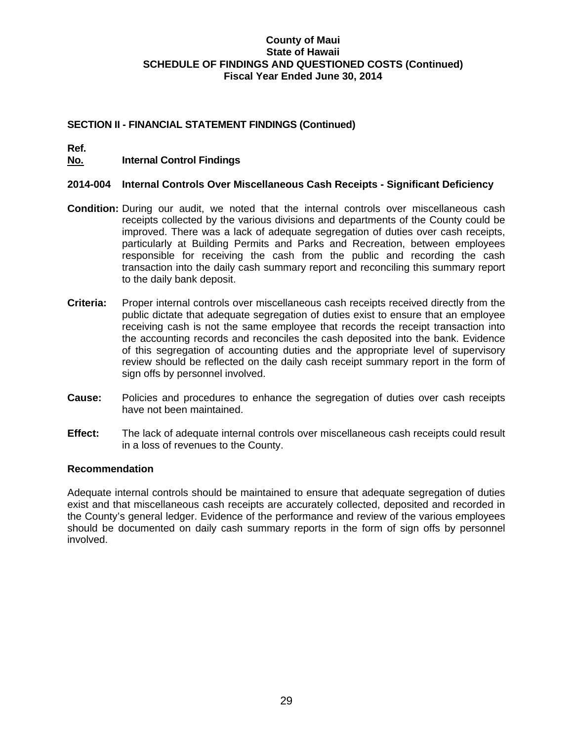#### **SECTION II - FINANCIAL STATEMENT FINDINGS (Continued)**

**Ref.**

#### **No. Internal Control Findings**

#### **2014-004 Internal Controls Over Miscellaneous Cash Receipts - Significant Deficiency**

- **Condition:** During our audit, we noted that the internal controls over miscellaneous cash receipts collected by the various divisions and departments of the County could be improved. There was a lack of adequate segregation of duties over cash receipts, particularly at Building Permits and Parks and Recreation, between employees responsible for receiving the cash from the public and recording the cash transaction into the daily cash summary report and reconciling this summary report to the daily bank deposit.
- **Criteria:** Proper internal controls over miscellaneous cash receipts received directly from the public dictate that adequate segregation of duties exist to ensure that an employee receiving cash is not the same employee that records the receipt transaction into the accounting records and reconciles the cash deposited into the bank. Evidence of this segregation of accounting duties and the appropriate level of supervisory review should be reflected on the daily cash receipt summary report in the form of sign offs by personnel involved.
- **Cause:** Policies and procedures to enhance the segregation of duties over cash receipts have not been maintained.
- **Effect:** The lack of adequate internal controls over miscellaneous cash receipts could result in a loss of revenues to the County.

#### **Recommendation**

Adequate internal controls should be maintained to ensure that adequate segregation of duties exist and that miscellaneous cash receipts are accurately collected, deposited and recorded in the County's general ledger. Evidence of the performance and review of the various employees should be documented on daily cash summary reports in the form of sign offs by personnel involved.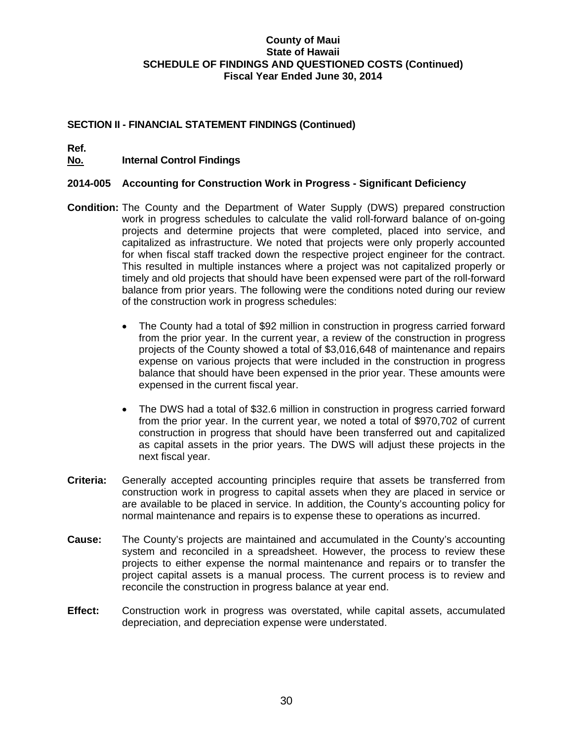#### **SECTION II - FINANCIAL STATEMENT FINDINGS (Continued)**

**Ref.**

#### **No. Internal Control Findings**

#### **2014-005 Accounting for Construction Work in Progress - Significant Deficiency**

- **Condition:** The County and the Department of Water Supply (DWS) prepared construction work in progress schedules to calculate the valid roll-forward balance of on-going projects and determine projects that were completed, placed into service, and capitalized as infrastructure. We noted that projects were only properly accounted for when fiscal staff tracked down the respective project engineer for the contract. This resulted in multiple instances where a project was not capitalized properly or timely and old projects that should have been expensed were part of the roll-forward balance from prior years. The following were the conditions noted during our review of the construction work in progress schedules:
	- The County had a total of \$92 million in construction in progress carried forward from the prior year. In the current year, a review of the construction in progress projects of the County showed a total of \$3,016,648 of maintenance and repairs expense on various projects that were included in the construction in progress balance that should have been expensed in the prior year. These amounts were expensed in the current fiscal year.
	- The DWS had a total of \$32.6 million in construction in progress carried forward from the prior year. In the current year, we noted a total of \$970,702 of current construction in progress that should have been transferred out and capitalized as capital assets in the prior years. The DWS will adjust these projects in the next fiscal year.
- **Criteria:** Generally accepted accounting principles require that assets be transferred from construction work in progress to capital assets when they are placed in service or are available to be placed in service. In addition, the County's accounting policy for normal maintenance and repairs is to expense these to operations as incurred.
- **Cause:** The County's projects are maintained and accumulated in the County's accounting system and reconciled in a spreadsheet. However, the process to review these projects to either expense the normal maintenance and repairs or to transfer the project capital assets is a manual process. The current process is to review and reconcile the construction in progress balance at year end.
- **Effect:** Construction work in progress was overstated, while capital assets, accumulated depreciation, and depreciation expense were understated.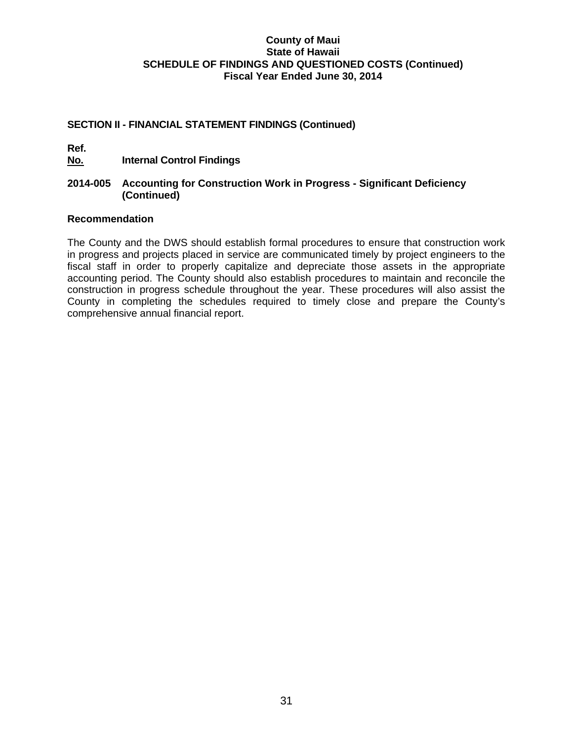#### **SECTION II - FINANCIAL STATEMENT FINDINGS (Continued)**

**Ref.**

**No. Internal Control Findings**

#### **2014-005 Accounting for Construction Work in Progress - Significant Deficiency (Continued)**

#### **Recommendation**

The County and the DWS should establish formal procedures to ensure that construction work in progress and projects placed in service are communicated timely by project engineers to the fiscal staff in order to properly capitalize and depreciate those assets in the appropriate accounting period. The County should also establish procedures to maintain and reconcile the construction in progress schedule throughout the year. These procedures will also assist the County in completing the schedules required to timely close and prepare the County's comprehensive annual financial report.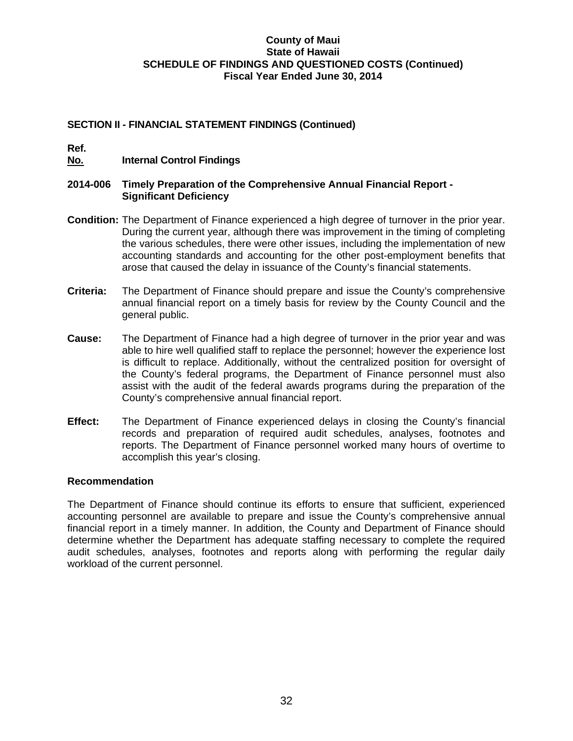#### **SECTION II - FINANCIAL STATEMENT FINDINGS (Continued)**

**Ref.**

#### **No. Internal Control Findings**

#### **2014-006 Timely Preparation of the Comprehensive Annual Financial Report - Significant Deficiency**

- **Condition:** The Department of Finance experienced a high degree of turnover in the prior year. During the current year, although there was improvement in the timing of completing the various schedules, there were other issues, including the implementation of new accounting standards and accounting for the other post-employment benefits that arose that caused the delay in issuance of the County's financial statements.
- **Criteria:** The Department of Finance should prepare and issue the County's comprehensive annual financial report on a timely basis for review by the County Council and the general public.
- **Cause:** The Department of Finance had a high degree of turnover in the prior year and was able to hire well qualified staff to replace the personnel; however the experience lost is difficult to replace. Additionally, without the centralized position for oversight of the County's federal programs, the Department of Finance personnel must also assist with the audit of the federal awards programs during the preparation of the County's comprehensive annual financial report.
- **Effect:** The Department of Finance experienced delays in closing the County's financial records and preparation of required audit schedules, analyses, footnotes and reports. The Department of Finance personnel worked many hours of overtime to accomplish this year's closing.

#### **Recommendation**

The Department of Finance should continue its efforts to ensure that sufficient, experienced accounting personnel are available to prepare and issue the County's comprehensive annual financial report in a timely manner. In addition, the County and Department of Finance should determine whether the Department has adequate staffing necessary to complete the required audit schedules, analyses, footnotes and reports along with performing the regular daily workload of the current personnel.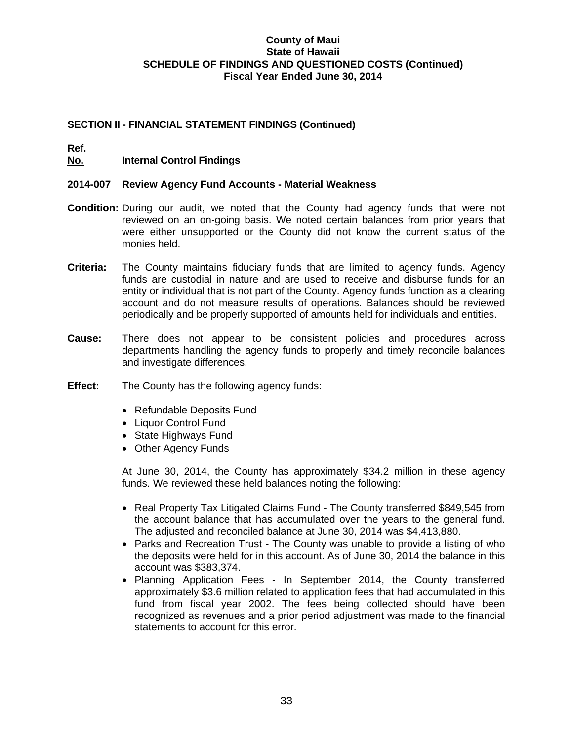#### **SECTION II - FINANCIAL STATEMENT FINDINGS (Continued)**

**Ref.**

**No. Internal Control Findings**

#### **2014-007 Review Agency Fund Accounts - Material Weakness**

- **Condition:** During our audit, we noted that the County had agency funds that were not reviewed on an on-going basis. We noted certain balances from prior years that were either unsupported or the County did not know the current status of the monies held.
- **Criteria:** The County maintains fiduciary funds that are limited to agency funds. Agency funds are custodial in nature and are used to receive and disburse funds for an entity or individual that is not part of the County. Agency funds function as a clearing account and do not measure results of operations. Balances should be reviewed periodically and be properly supported of amounts held for individuals and entities.
- **Cause:** There does not appear to be consistent policies and procedures across departments handling the agency funds to properly and timely reconcile balances and investigate differences.
- **Effect:** The County has the following agency funds:
	- Refundable Deposits Fund
	- Liquor Control Fund
	- State Highways Fund
	- Other Agency Funds

At June 30, 2014, the County has approximately \$34.2 million in these agency funds. We reviewed these held balances noting the following:

- Real Property Tax Litigated Claims Fund The County transferred \$849,545 from the account balance that has accumulated over the years to the general fund. The adjusted and reconciled balance at June 30, 2014 was \$4,413,880.
- Parks and Recreation Trust The County was unable to provide a listing of who the deposits were held for in this account. As of June 30, 2014 the balance in this account was \$383,374.
- Planning Application Fees In September 2014, the County transferred approximately \$3.6 million related to application fees that had accumulated in this fund from fiscal year 2002. The fees being collected should have been recognized as revenues and a prior period adjustment was made to the financial statements to account for this error.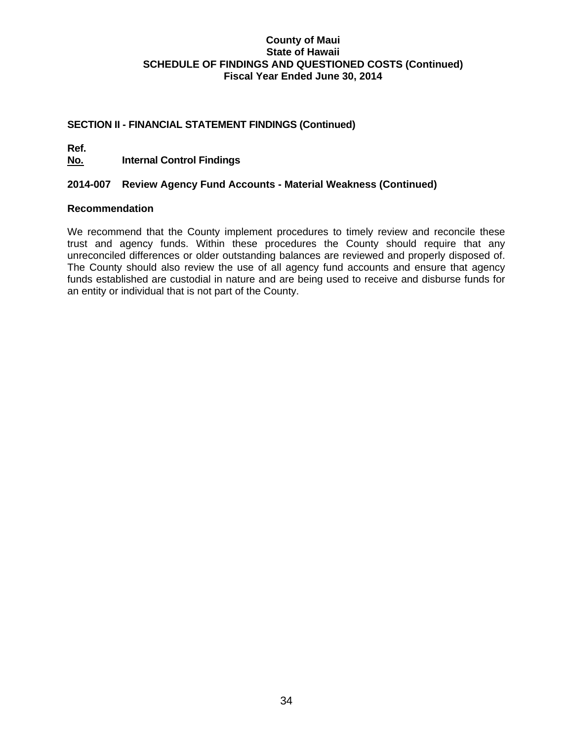## **SECTION II - FINANCIAL STATEMENT FINDINGS (Continued)**

**Ref.**

**No. Internal Control Findings**

#### **2014-007 Review Agency Fund Accounts - Material Weakness (Continued)**

#### **Recommendation**

We recommend that the County implement procedures to timely review and reconcile these trust and agency funds. Within these procedures the County should require that any unreconciled differences or older outstanding balances are reviewed and properly disposed of. The County should also review the use of all agency fund accounts and ensure that agency funds established are custodial in nature and are being used to receive and disburse funds for an entity or individual that is not part of the County.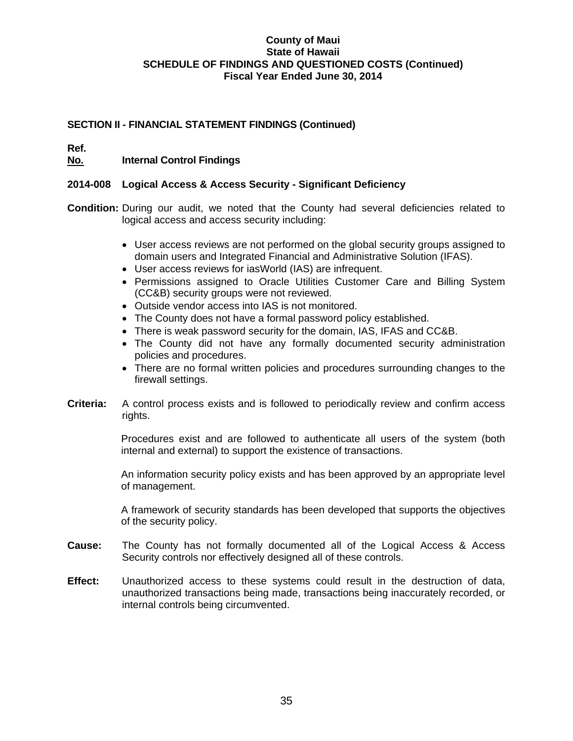## **SECTION II - FINANCIAL STATEMENT FINDINGS (Continued)**

**Ref.**

#### **No. Internal Control Findings**

#### **2014-008 Logical Access & Access Security - Significant Deficiency**

- **Condition:** During our audit, we noted that the County had several deficiencies related to logical access and access security including:
	- User access reviews are not performed on the global security groups assigned to domain users and Integrated Financial and Administrative Solution (IFAS).
	- User access reviews for iasWorld (IAS) are infrequent.
	- Permissions assigned to Oracle Utilities Customer Care and Billing System (CC&B) security groups were not reviewed.
	- Outside vendor access into IAS is not monitored.
	- The County does not have a formal password policy established.
	- There is weak password security for the domain, IAS, IFAS and CC&B.
	- The County did not have any formally documented security administration policies and procedures.
	- There are no formal written policies and procedures surrounding changes to the firewall settings.
- **Criteria:** A control process exists and is followed to periodically review and confirm access rights.

Procedures exist and are followed to authenticate all users of the system (both internal and external) to support the existence of transactions.

An information security policy exists and has been approved by an appropriate level of management.

A framework of security standards has been developed that supports the objectives of the security policy.

- **Cause:** The County has not formally documented all of the Logical Access & Access Security controls nor effectively designed all of these controls.
- **Effect:** Unauthorized access to these systems could result in the destruction of data, unauthorized transactions being made, transactions being inaccurately recorded, or internal controls being circumvented.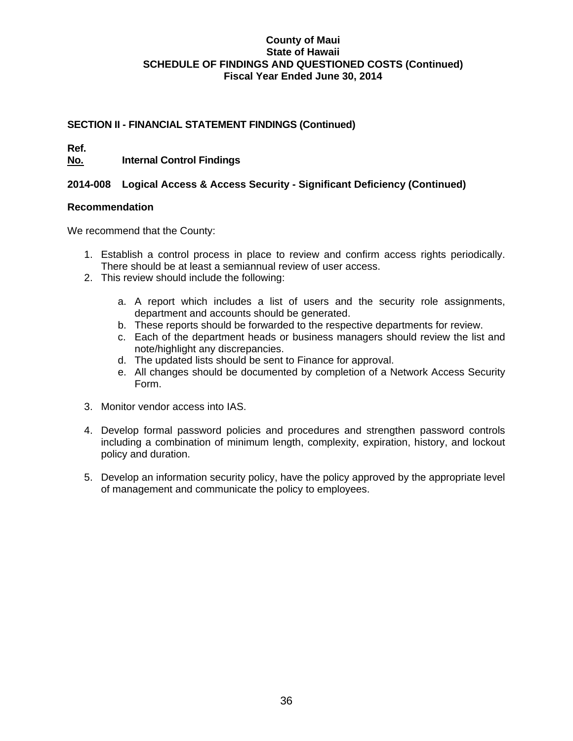## **SECTION II - FINANCIAL STATEMENT FINDINGS (Continued)**

**Ref.**

## **No. Internal Control Findings**

## **2014-008 Logical Access & Access Security - Significant Deficiency (Continued)**

#### **Recommendation**

We recommend that the County:

- 1. Establish a control process in place to review and confirm access rights periodically. There should be at least a semiannual review of user access.
- 2. This review should include the following:
	- a. A report which includes a list of users and the security role assignments, department and accounts should be generated.
	- b. These reports should be forwarded to the respective departments for review.
	- c. Each of the department heads or business managers should review the list and note/highlight any discrepancies.
	- d. The updated lists should be sent to Finance for approval.
	- e. All changes should be documented by completion of a Network Access Security Form.
- 3. Monitor vendor access into IAS.
- 4. Develop formal password policies and procedures and strengthen password controls including a combination of minimum length, complexity, expiration, history, and lockout policy and duration.
- 5. Develop an information security policy, have the policy approved by the appropriate level of management and communicate the policy to employees.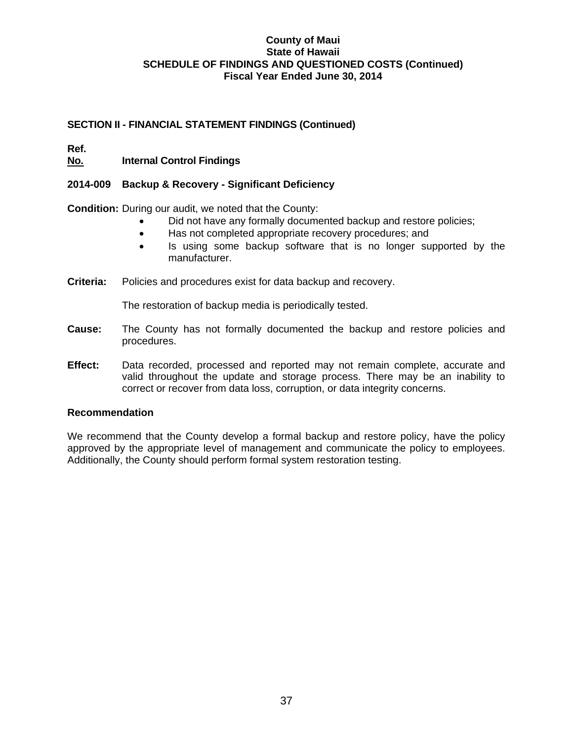## **SECTION II - FINANCIAL STATEMENT FINDINGS (Continued)**

**Ref.**

#### **No. Internal Control Findings**

#### **2014-009 Backup & Recovery - Significant Deficiency**

**Condition:** During our audit, we noted that the County:

- Did not have any formally documented backup and restore policies;
- Has not completed appropriate recovery procedures; and
- Is using some backup software that is no longer supported by the manufacturer.
- **Criteria:** Policies and procedures exist for data backup and recovery.

The restoration of backup media is periodically tested.

- **Cause:** The County has not formally documented the backup and restore policies and procedures.
- **Effect:** Data recorded, processed and reported may not remain complete, accurate and valid throughout the update and storage process. There may be an inability to correct or recover from data loss, corruption, or data integrity concerns.

#### **Recommendation**

We recommend that the County develop a formal backup and restore policy, have the policy approved by the appropriate level of management and communicate the policy to employees. Additionally, the County should perform formal system restoration testing.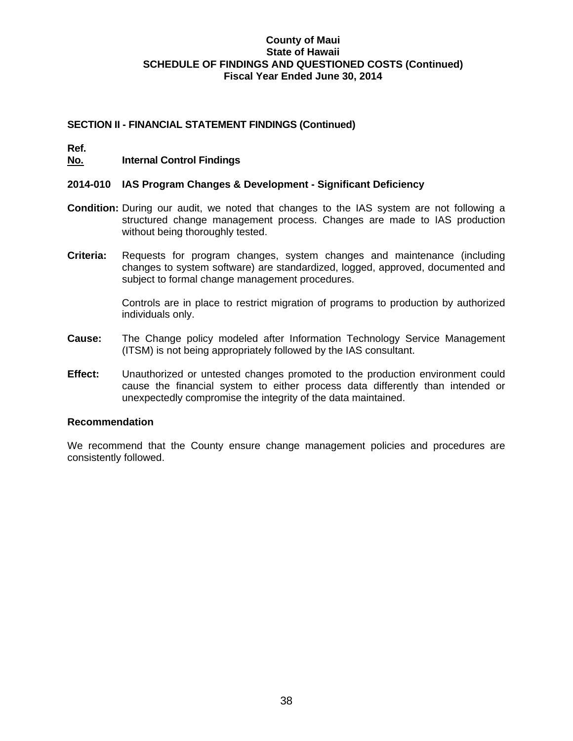#### **SECTION II - FINANCIAL STATEMENT FINDINGS (Continued)**

**Ref.**

#### **No. Internal Control Findings**

#### **2014-010 IAS Program Changes & Development - Significant Deficiency**

- **Condition:** During our audit, we noted that changes to the IAS system are not following a structured change management process. Changes are made to IAS production without being thoroughly tested.
- **Criteria:** Requests for program changes, system changes and maintenance (including changes to system software) are standardized, logged, approved, documented and subject to formal change management procedures.

Controls are in place to restrict migration of programs to production by authorized individuals only.

- **Cause:** The Change policy modeled after Information Technology Service Management (ITSM) is not being appropriately followed by the IAS consultant.
- **Effect:** Unauthorized or untested changes promoted to the production environment could cause the financial system to either process data differently than intended or unexpectedly compromise the integrity of the data maintained.

#### **Recommendation**

We recommend that the County ensure change management policies and procedures are consistently followed.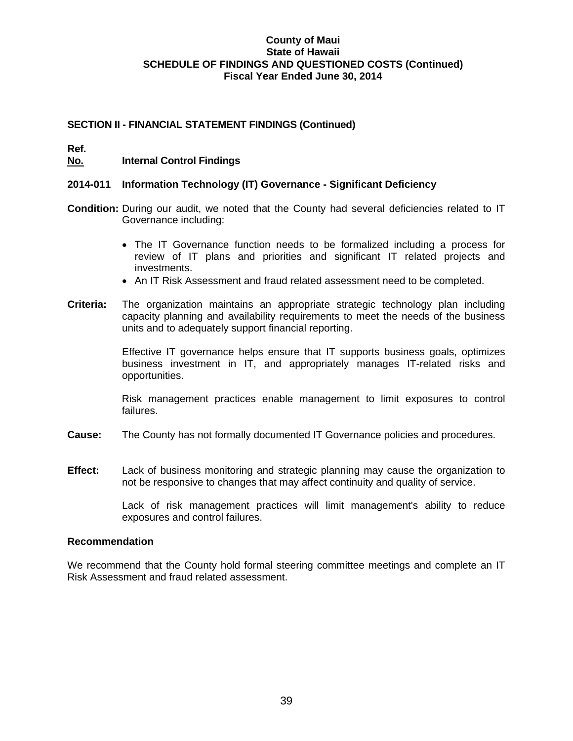#### **SECTION II - FINANCIAL STATEMENT FINDINGS (Continued)**

**Ref.**

#### **No. Internal Control Findings**

#### **2014-011 Information Technology (IT) Governance - Significant Deficiency**

- **Condition:** During our audit, we noted that the County had several deficiencies related to IT Governance including:
	- The IT Governance function needs to be formalized including a process for review of IT plans and priorities and significant IT related projects and investments.
	- An IT Risk Assessment and fraud related assessment need to be completed.
- **Criteria:** The organization maintains an appropriate strategic technology plan including capacity planning and availability requirements to meet the needs of the business units and to adequately support financial reporting.

Effective IT governance helps ensure that IT supports business goals, optimizes business investment in IT, and appropriately manages IT-related risks and opportunities.

Risk management practices enable management to limit exposures to control failures.

- **Cause:** The County has not formally documented IT Governance policies and procedures.
- **Effect:** Lack of business monitoring and strategic planning may cause the organization to not be responsive to changes that may affect continuity and quality of service.

Lack of risk management practices will limit management's ability to reduce exposures and control failures.

#### **Recommendation**

We recommend that the County hold formal steering committee meetings and complete an IT Risk Assessment and fraud related assessment.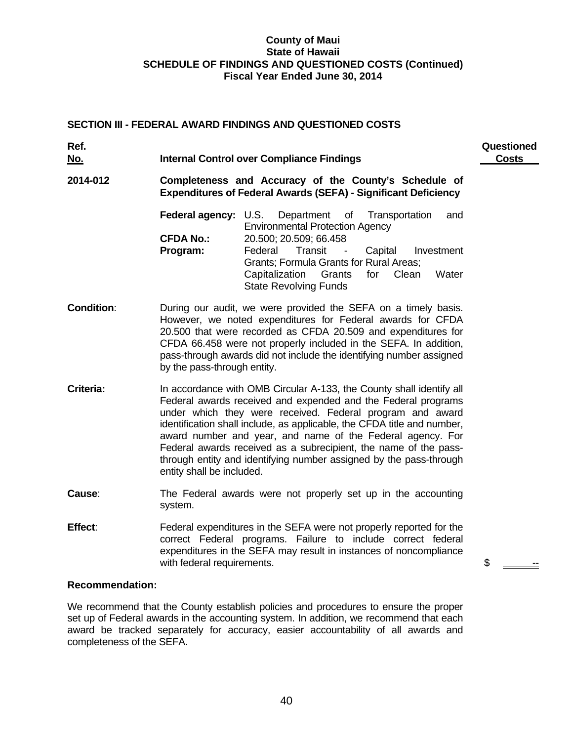## **SECTION III - FEDERAL AWARD FINDINGS AND QUESTIONED COSTS**

| Ref.<br><u>No.</u> | <b>Internal Control over Compliance Findings</b>                                                                                                                                                                                                                                                                                                                                                                                                                                                                   |  |
|--------------------|--------------------------------------------------------------------------------------------------------------------------------------------------------------------------------------------------------------------------------------------------------------------------------------------------------------------------------------------------------------------------------------------------------------------------------------------------------------------------------------------------------------------|--|
| 2014-012           | Completeness and Accuracy of the County's Schedule of<br><b>Expenditures of Federal Awards (SEFA) - Significant Deficiency</b>                                                                                                                                                                                                                                                                                                                                                                                     |  |
|                    | Federal agency: U.S.<br>Department of<br>Transportation<br>and<br><b>Environmental Protection Agency</b><br>20.500; 20.509; 66.458<br><b>CFDA No.:</b>                                                                                                                                                                                                                                                                                                                                                             |  |
|                    | Transit<br>Program:<br>Federal<br>Capital<br>Investment<br>$\overline{\phantom{a}}$<br>Grants; Formula Grants for Rural Areas;<br>Clean<br>Water<br>Capitalization<br>Grants<br>for<br><b>State Revolving Funds</b>                                                                                                                                                                                                                                                                                                |  |
| <b>Condition:</b>  | During our audit, we were provided the SEFA on a timely basis.<br>However, we noted expenditures for Federal awards for CFDA<br>20.500 that were recorded as CFDA 20.509 and expenditures for<br>CFDA 66.458 were not properly included in the SEFA. In addition,<br>pass-through awards did not include the identifying number assigned<br>by the pass-through entity.                                                                                                                                            |  |
| Criteria:          | In accordance with OMB Circular A-133, the County shall identify all<br>Federal awards received and expended and the Federal programs<br>under which they were received. Federal program and award<br>identification shall include, as applicable, the CFDA title and number,<br>award number and year, and name of the Federal agency. For<br>Federal awards received as a subrecipient, the name of the pass-<br>through entity and identifying number assigned by the pass-through<br>entity shall be included. |  |
| Cause:             | The Federal awards were not properly set up in the accounting<br>system.                                                                                                                                                                                                                                                                                                                                                                                                                                           |  |
| Effect:            | Federal expenditures in the SEFA were not properly reported for the<br>correct Federal programs. Failure to include correct federal                                                                                                                                                                                                                                                                                                                                                                                |  |

with federal requirements. The same state of the state of  $\frac{1}{2}$ 

#### **Recommendation:**

We recommend that the County establish policies and procedures to ensure the proper set up of Federal awards in the accounting system. In addition, we recommend that each award be tracked separately for accuracy, easier accountability of all awards and completeness of the SEFA.

expenditures in the SEFA may result in instances of noncompliance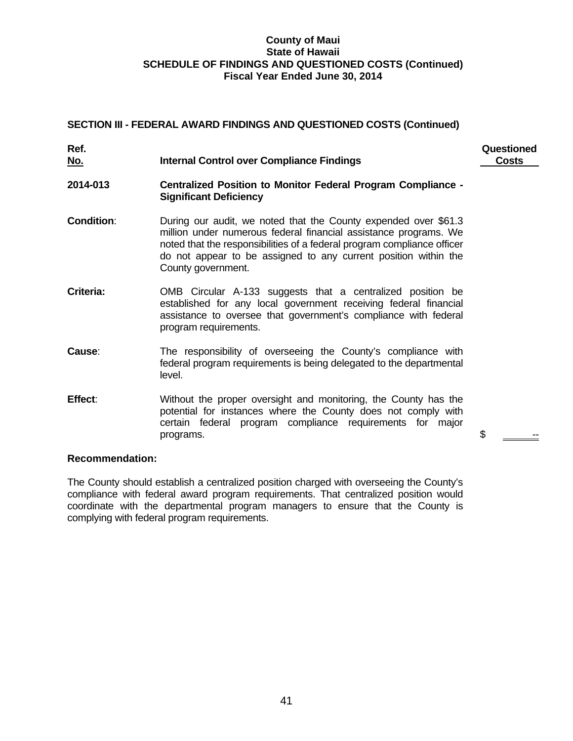## **SECTION III - FEDERAL AWARD FINDINGS AND QUESTIONED COSTS (Continued)**

| Ref.<br><u>No.</u> | <b>Internal Control over Compliance Findings</b>                                                                                                                                                                                                                                                        | Questioned<br><b>Costs</b> |
|--------------------|---------------------------------------------------------------------------------------------------------------------------------------------------------------------------------------------------------------------------------------------------------------------------------------------------------|----------------------------|
| 2014-013           | <b>Centralized Position to Monitor Federal Program Compliance -</b><br><b>Significant Deficiency</b>                                                                                                                                                                                                    |                            |
| <b>Condition:</b>  | During our audit, we noted that the County expended over \$61.3<br>million under numerous federal financial assistance programs. We<br>noted that the responsibilities of a federal program compliance officer<br>do not appear to be assigned to any current position within the<br>County government. |                            |
| Criteria:          | OMB Circular A-133 suggests that a centralized position be<br>established for any local government receiving federal financial<br>assistance to oversee that government's compliance with federal<br>program requirements.                                                                              |                            |
| Cause:             | The responsibility of overseeing the County's compliance with<br>federal program requirements is being delegated to the departmental<br>level.                                                                                                                                                          |                            |
| Effect:            | Without the proper oversight and monitoring, the County has the<br>potential for instances where the County does not comply with<br>certain federal program compliance requirements for major<br>programs.                                                                                              | \$                         |

#### **Recommendation:**

The County should establish a centralized position charged with overseeing the County's compliance with federal award program requirements. That centralized position would coordinate with the departmental program managers to ensure that the County is complying with federal program requirements.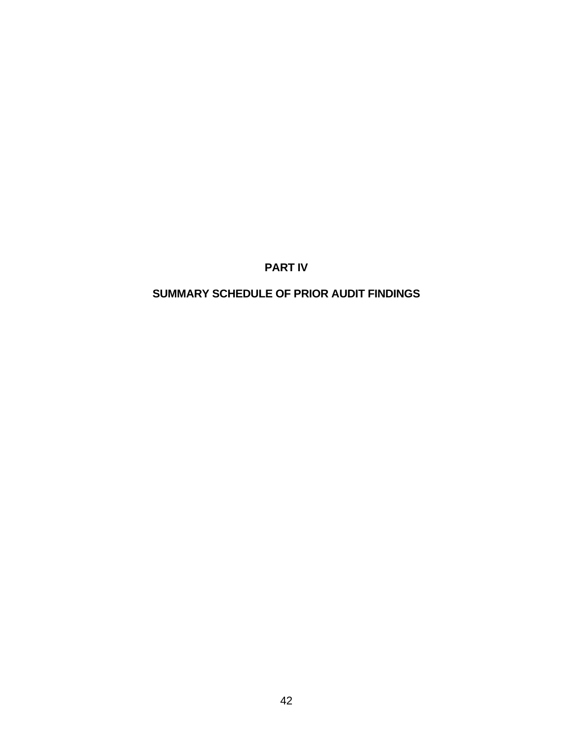**PART IV** 

# **SUMMARY SCHEDULE OF PRIOR AUDIT FINDINGS**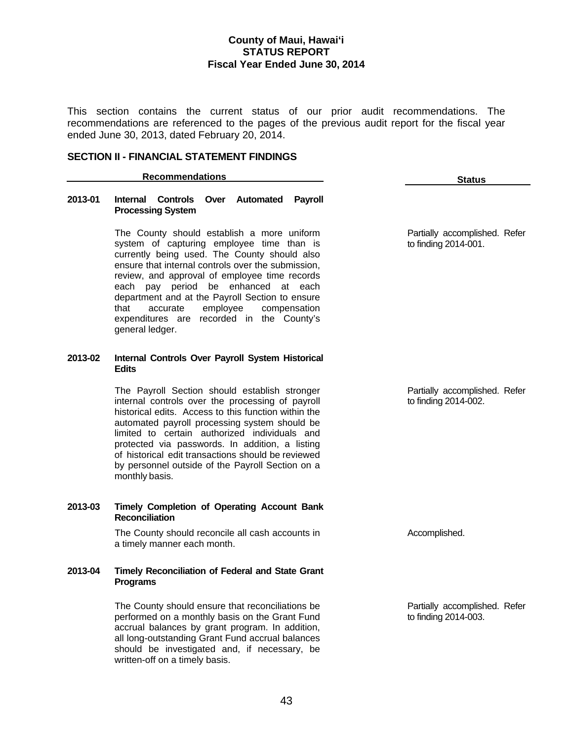#### **County of Maui, Hawai'i STATUS REPORT Fiscal Year Ended June 30, 2014**

This section contains the current status of our prior audit recommendations. The recommendations are referenced to the pages of the previous audit report for the fiscal year ended June 30, 2013, dated February 20, 2014.

#### **SECTION II - FINANCIAL STATEMENT FINDINGS**

#### **Recommendations**

**Status**

#### **2013-01 Internal Controls Over Automated Payroll Processing System**

The County should establish a more uniform system of capturing employee time than is currently being used. The County should also ensure that internal controls over the submission, review, and approval of employee time records each pay period be enhanced at each department and at the Payroll Section to ensure that accurate employee compensation expenditures are recorded in the County's general ledger.

#### **2013-02 Internal Controls Over Payroll System Historical Edits**

The Payroll Section should establish stronger internal controls over the processing of payroll historical edits. Access to this function within the automated payroll processing system should be limited to certain authorized individuals and protected via passwords. In addition, a listing of historical edit transactions should be reviewed by personnel outside of the Payroll Section on a monthly basis.

**2013-03 Timely Completion of Operating Account Bank Reconciliation**

> The County should reconcile all cash accounts in a timely manner each month.

#### **2013-04 Timely Reconciliation of Federal and State Grant Programs**

The County should ensure that reconciliations be performed on a monthly basis on the Grant Fund accrual balances by grant program. In addition, all long-outstanding Grant Fund accrual balances should be investigated and, if necessary, be written-off on a timely basis.

 Partially accomplished. Refer to finding 2014-001.

 Partially accomplished. Refer to finding 2014-002.

Accomplished.

 Partially accomplished. Refer to finding 2014-003.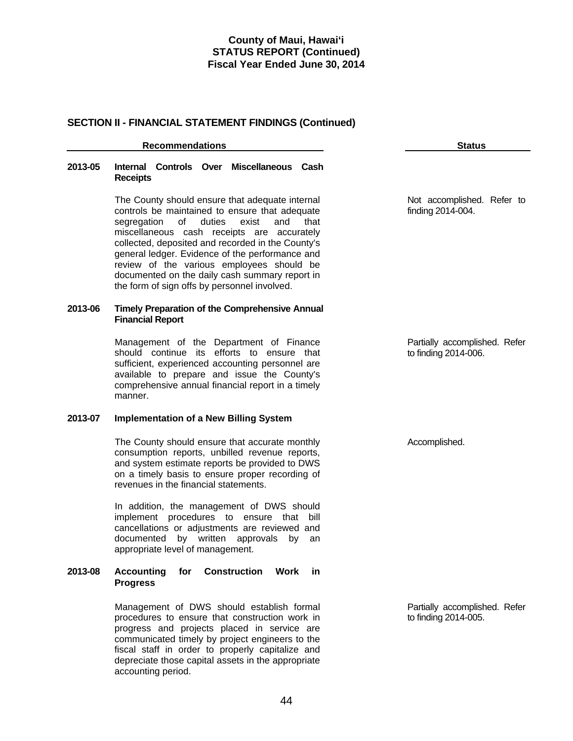#### **County of Maui, Hawai'i STATUS REPORT (Continued) Fiscal Year Ended June 30, 2014**

#### **SECTION II - FINANCIAL STATEMENT FINDINGS (Continued)**

**Recommendations in the status of the status of the status status of the status status** 

#### **2013-05 Internal Controls Over Miscellaneous Cash Receipts**

The County should ensure that adequate internal controls be maintained to ensure that adequate segregation of duties exist and that miscellaneous cash receipts are accurately collected, deposited and recorded in the County's general ledger. Evidence of the performance and review of the various employees should be documented on the daily cash summary report in the form of sign offs by personnel involved.

#### **2013-06 Timely Preparation of the Comprehensive Annual Financial Report**

Management of the Department of Finance should continue its efforts to ensure that sufficient, experienced accounting personnel are available to prepare and issue the County's comprehensive annual financial report in a timely manner.

#### **2013-07 Implementation of a New Billing System**

The County should ensure that accurate monthly consumption reports, unbilled revenue reports, and system estimate reports be provided to DWS on a timely basis to ensure proper recording of revenues in the financial statements.

In addition, the management of DWS should implement procedures to ensure that bill cancellations or adjustments are reviewed and documented by written approvals by an appropriate level of management.

#### **2013-08 Accounting for Construction Work in Progress**

Management of DWS should establish formal procedures to ensure that construction work in progress and projects placed in service are communicated timely by project engineers to the fiscal staff in order to properly capitalize and depreciate those capital assets in the appropriate accounting period.

 Not accomplished. Refer to finding 2014-004.

 Partially accomplished. Refer to finding 2014-006.

Accomplished.

 Partially accomplished. Refer to finding 2014-005.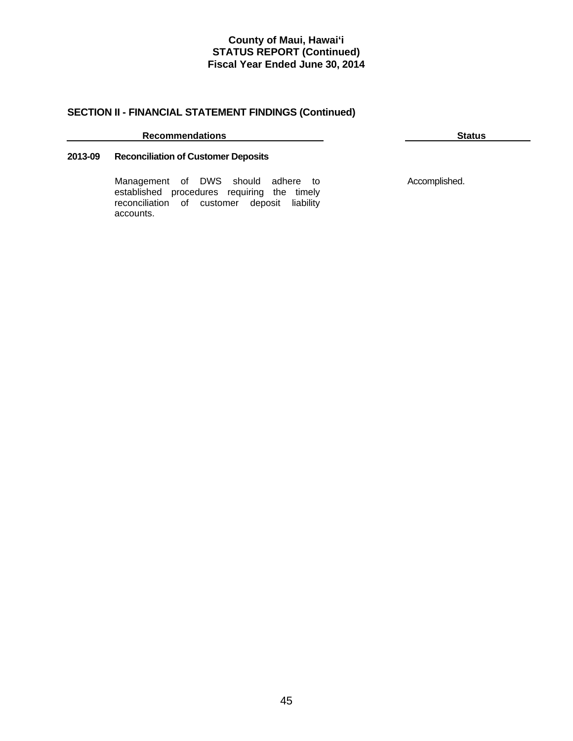#### **County of Maui, Hawai'i STATUS REPORT (Continued) Fiscal Year Ended June 30, 2014**

## **SECTION II - FINANCIAL STATEMENT FINDINGS (Continued)**

#### **Recommendations Status Status**

#### **2013-09 Reconciliation of Customer Deposits**

Management of DWS should adhere to established procedures requiring the timely reconciliation of customer deposit liability accounts.

Accomplished.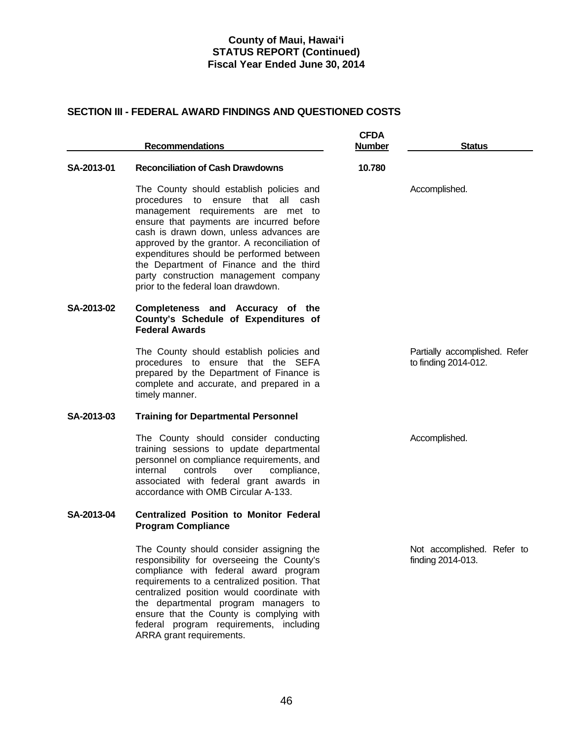#### **County of Maui, Hawai'i STATUS REPORT (Continued) Fiscal Year Ended June 30, 2014**

# **SECTION III - FEDERAL AWARD FINDINGS AND QUESTIONED COSTS**

|            | <b>Recommendations</b>                                                                                                                                                                                                                                                                                                                                                                                                             | <b>CFDA</b><br><b>Number</b> | <b>Status</b>                                         |
|------------|------------------------------------------------------------------------------------------------------------------------------------------------------------------------------------------------------------------------------------------------------------------------------------------------------------------------------------------------------------------------------------------------------------------------------------|------------------------------|-------------------------------------------------------|
| SA-2013-01 | <b>Reconciliation of Cash Drawdowns</b>                                                                                                                                                                                                                                                                                                                                                                                            | 10.780                       |                                                       |
|            | The County should establish policies and<br>procedures to ensure that all cash<br>management requirements are met to<br>ensure that payments are incurred before<br>cash is drawn down, unless advances are<br>approved by the grantor. A reconciliation of<br>expenditures should be performed between<br>the Department of Finance and the third<br>party construction management company<br>prior to the federal loan drawdown. |                              | Accomplished.                                         |
| SA-2013-02 | Completeness and Accuracy of the<br>County's Schedule of Expenditures of<br><b>Federal Awards</b>                                                                                                                                                                                                                                                                                                                                  |                              |                                                       |
|            | The County should establish policies and<br>procedures to ensure that the SEFA<br>prepared by the Department of Finance is<br>complete and accurate, and prepared in a<br>timely manner.                                                                                                                                                                                                                                           |                              | Partially accomplished. Refer<br>to finding 2014-012. |
| SA-2013-03 | <b>Training for Departmental Personnel</b>                                                                                                                                                                                                                                                                                                                                                                                         |                              |                                                       |
|            | The County should consider conducting<br>training sessions to update departmental<br>personnel on compliance requirements, and<br>internal<br>controls<br>over<br>compliance,<br>associated with federal grant awards in<br>accordance with OMB Circular A-133.                                                                                                                                                                    |                              | Accomplished.                                         |
| SA-2013-04 | <b>Centralized Position to Monitor Federal</b><br><b>Program Compliance</b>                                                                                                                                                                                                                                                                                                                                                        |                              |                                                       |
|            | The County should consider assigning the<br>responsibility for overseeing the County's<br>compliance with federal award program<br>requirements to a centralized position. That<br>centralized position would coordinate with<br>the departmental program managers to<br>ensure that the County is complying with<br>federal program requirements, including                                                                       |                              | Not accomplished. Refer to<br>finding 2014-013.       |

ARRA grant requirements.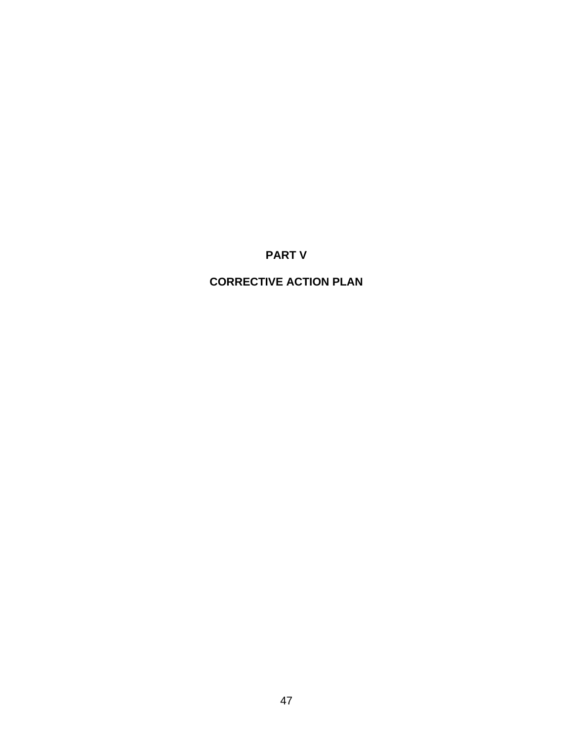# **PART V**

# **CORRECTIVE ACTION PLAN**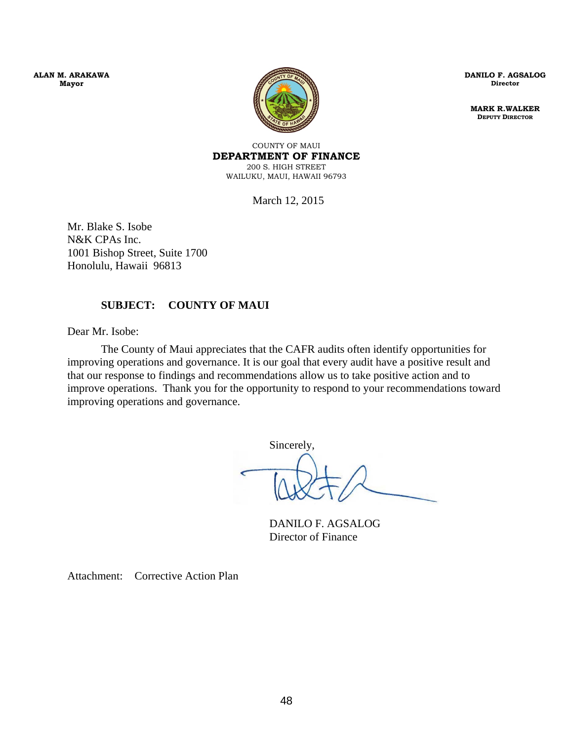**ALAN M. ARAKAWA Mayor** 



**DANILO F. AGSALOG Director** 

**MARK R.WALKER DEPUTY DIRECTOR** 

COUNTY OF MAUI **DEPARTMENT OF FINANCE**  200 S. HIGH STREET

WAILUKU, MAUI, HAWAII 96793

March 12, 2015

Mr. Blake S. Isobe N&K CPAs Inc. 1001 Bishop Street, Suite 1700 Honolulu, Hawaii 96813

## **SUBJECT: COUNTY OF MAUI**

Dear Mr. Isobe:

The County of Maui appreciates that the CAFR audits often identify opportunities for improving operations and governance. It is our goal that every audit have a positive result and that our response to findings and recommendations allow us to take positive action and to improve operations. Thank you for the opportunity to respond to your recommendations toward improving operations and governance.

Sincerely,

DANILO F. AGSALOG Director of Finance

Attachment: Corrective Action Plan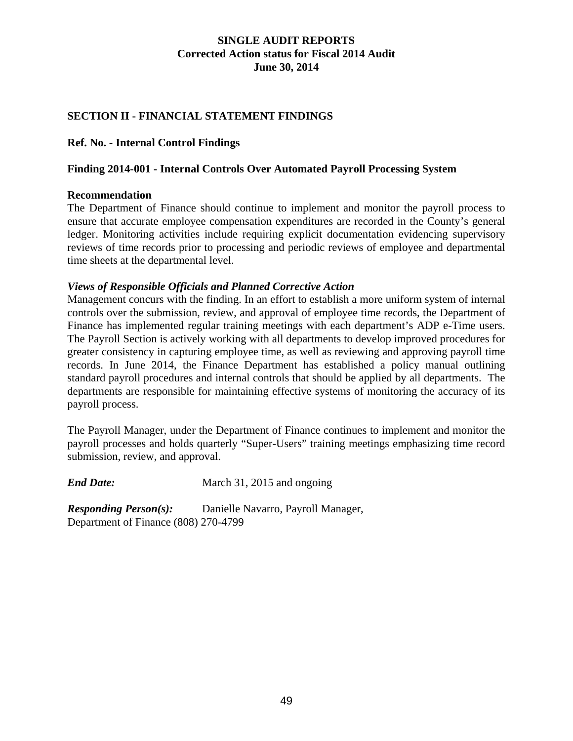## **SECTION II - FINANCIAL STATEMENT FINDINGS**

## **Ref. No. - Internal Control Findings**

#### **Finding 2014-001 - Internal Controls Over Automated Payroll Processing System**

#### **Recommendation**

The Department of Finance should continue to implement and monitor the payroll process to ensure that accurate employee compensation expenditures are recorded in the County's general ledger. Monitoring activities include requiring explicit documentation evidencing supervisory reviews of time records prior to processing and periodic reviews of employee and departmental time sheets at the departmental level.

## *Views of Responsible Officials and Planned Corrective Action*

Management concurs with the finding. In an effort to establish a more uniform system of internal controls over the submission, review, and approval of employee time records, the Department of Finance has implemented regular training meetings with each department's ADP e-Time users. The Payroll Section is actively working with all departments to develop improved procedures for greater consistency in capturing employee time, as well as reviewing and approving payroll time records. In June 2014, the Finance Department has established a policy manual outlining standard payroll procedures and internal controls that should be applied by all departments. The departments are responsible for maintaining effective systems of monitoring the accuracy of its payroll process.

The Payroll Manager, under the Department of Finance continues to implement and monitor the payroll processes and holds quarterly "Super-Users" training meetings emphasizing time record submission, review, and approval.

*End Date:* March 31, 2015 and ongoing

*Responding Person(s):* Danielle Navarro, Payroll Manager, Department of Finance (808) 270-4799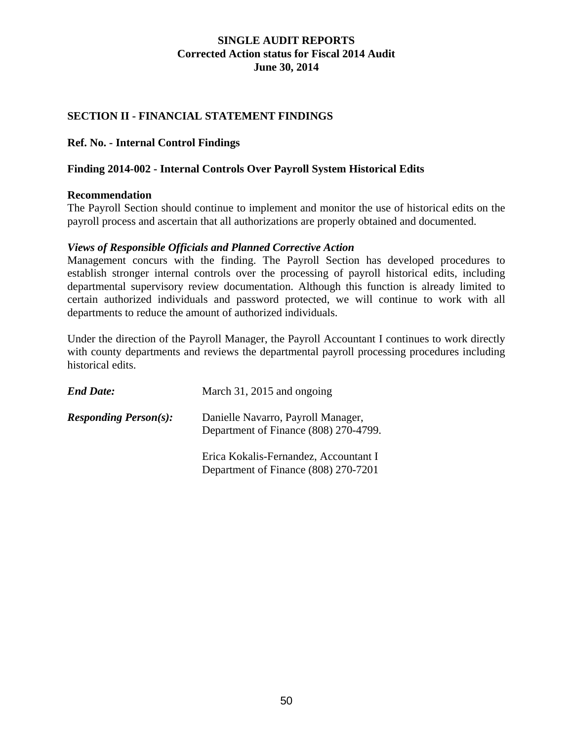## **SECTION II - FINANCIAL STATEMENT FINDINGS**

## **Ref. No. - Internal Control Findings**

## **Finding 2014-002 - Internal Controls Over Payroll System Historical Edits**

#### **Recommendation**

The Payroll Section should continue to implement and monitor the use of historical edits on the payroll process and ascertain that all authorizations are properly obtained and documented.

#### *Views of Responsible Officials and Planned Corrective Action*

Management concurs with the finding. The Payroll Section has developed procedures to establish stronger internal controls over the processing of payroll historical edits, including departmental supervisory review documentation. Although this function is already limited to certain authorized individuals and password protected, we will continue to work with all departments to reduce the amount of authorized individuals.

Under the direction of the Payroll Manager, the Payroll Accountant I continues to work directly with county departments and reviews the departmental payroll processing procedures including historical edits.

| <b>End Date:</b>             | March 31, 2015 and ongoing                                                    |
|------------------------------|-------------------------------------------------------------------------------|
| <i>Responding Person(s):</i> | Danielle Navarro, Payroll Manager,<br>Department of Finance (808) 270-4799.   |
|                              | Erica Kokalis-Fernandez, Accountant I<br>Department of Finance (808) 270-7201 |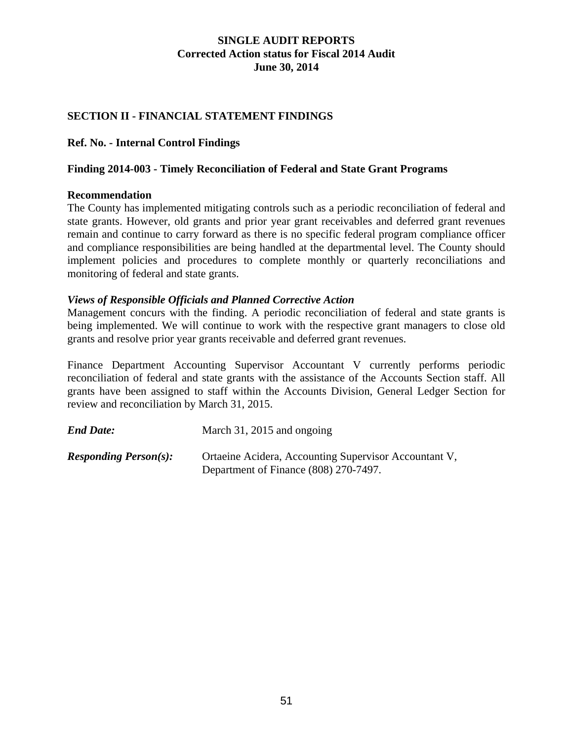## **SECTION II - FINANCIAL STATEMENT FINDINGS**

## **Ref. No. - Internal Control Findings**

#### **Finding 2014-003 - Timely Reconciliation of Federal and State Grant Programs**

#### **Recommendation**

The County has implemented mitigating controls such as a periodic reconciliation of federal and state grants. However, old grants and prior year grant receivables and deferred grant revenues remain and continue to carry forward as there is no specific federal program compliance officer and compliance responsibilities are being handled at the departmental level. The County should implement policies and procedures to complete monthly or quarterly reconciliations and monitoring of federal and state grants.

## *Views of Responsible Officials and Planned Corrective Action*

Management concurs with the finding. A periodic reconciliation of federal and state grants is being implemented. We will continue to work with the respective grant managers to close old grants and resolve prior year grants receivable and deferred grant revenues.

Finance Department Accounting Supervisor Accountant V currently performs periodic reconciliation of federal and state grants with the assistance of the Accounts Section staff. All grants have been assigned to staff within the Accounts Division, General Ledger Section for review and reconciliation by March 31, 2015.

| <b>End Date:</b>             | March 31, 2015 and ongoing                                                                     |
|------------------------------|------------------------------------------------------------------------------------------------|
| <i>Responding Person(s):</i> | Ortaeine Acidera, Accounting Supervisor Accountant V,<br>Department of Finance (808) 270-7497. |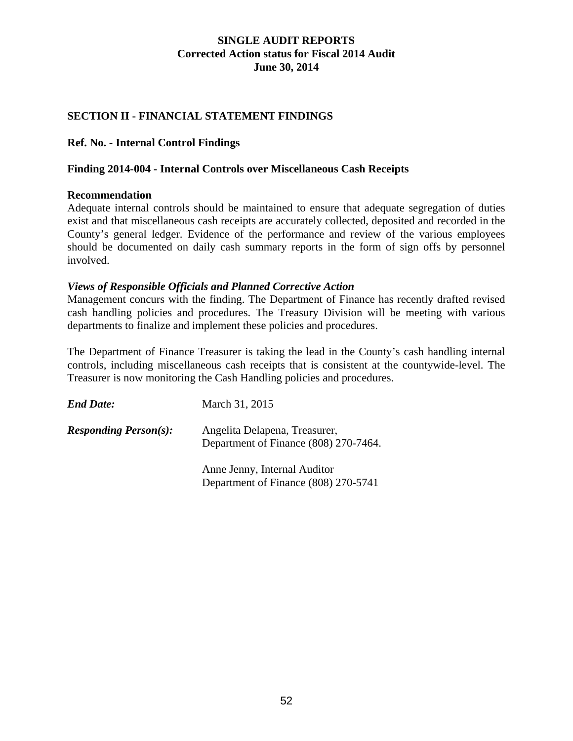## **SECTION II - FINANCIAL STATEMENT FINDINGS**

## **Ref. No. - Internal Control Findings**

#### **Finding 2014-004 - Internal Controls over Miscellaneous Cash Receipts**

#### **Recommendation**

Adequate internal controls should be maintained to ensure that adequate segregation of duties exist and that miscellaneous cash receipts are accurately collected, deposited and recorded in the County's general ledger. Evidence of the performance and review of the various employees should be documented on daily cash summary reports in the form of sign offs by personnel involved.

#### *Views of Responsible Officials and Planned Corrective Action*

Management concurs with the finding. The Department of Finance has recently drafted revised cash handling policies and procedures. The Treasury Division will be meeting with various departments to finalize and implement these policies and procedures.

The Department of Finance Treasurer is taking the lead in the County's cash handling internal controls, including miscellaneous cash receipts that is consistent at the countywide-level. The Treasurer is now monitoring the Cash Handling policies and procedures.

| <b>End Date:</b>             | March 31, 2015                                                         |
|------------------------------|------------------------------------------------------------------------|
| <b>Responding Person(s):</b> | Angelita Delapena, Treasurer,<br>Department of Finance (808) 270-7464. |

 Anne Jenny, Internal Auditor Department of Finance (808) 270-5741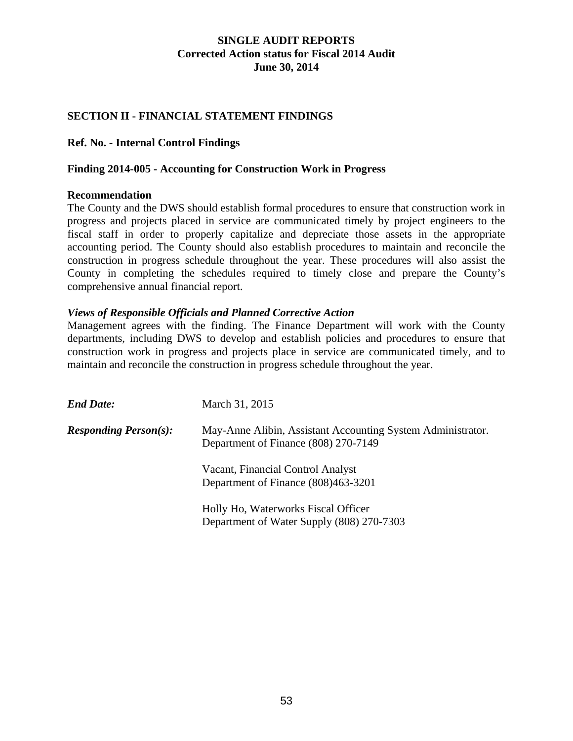## **SECTION II - FINANCIAL STATEMENT FINDINGS**

## **Ref. No. - Internal Control Findings**

#### **Finding 2014-005 - Accounting for Construction Work in Progress**

#### **Recommendation**

The County and the DWS should establish formal procedures to ensure that construction work in progress and projects placed in service are communicated timely by project engineers to the fiscal staff in order to properly capitalize and depreciate those assets in the appropriate accounting period. The County should also establish procedures to maintain and reconcile the construction in progress schedule throughout the year. These procedures will also assist the County in completing the schedules required to timely close and prepare the County's comprehensive annual financial report.

## *Views of Responsible Officials and Planned Corrective Action*

Management agrees with the finding. The Finance Department will work with the County departments, including DWS to develop and establish policies and procedures to ensure that construction work in progress and projects place in service are communicated timely, and to maintain and reconcile the construction in progress schedule throughout the year.

| <b>End Date:</b>             | March 31, 2015                                                                                      |
|------------------------------|-----------------------------------------------------------------------------------------------------|
| <b>Responding Person(s):</b> | May-Anne Alibin, Assistant Accounting System Administrator.<br>Department of Finance (808) 270-7149 |
|                              | Vacant, Financial Control Analyst<br>Department of Finance (808)463-3201                            |
|                              | Holly Ho, Waterworks Fiscal Officer<br>Department of Water Supply (808) 270-7303                    |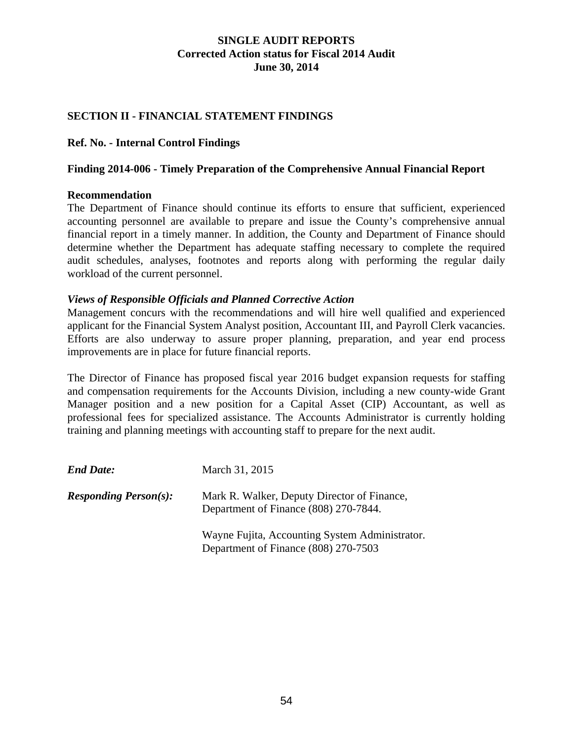## **SECTION II - FINANCIAL STATEMENT FINDINGS**

## **Ref. No. - Internal Control Findings**

#### **Finding 2014-006 - Timely Preparation of the Comprehensive Annual Financial Report**

#### **Recommendation**

The Department of Finance should continue its efforts to ensure that sufficient, experienced accounting personnel are available to prepare and issue the County's comprehensive annual financial report in a timely manner. In addition, the County and Department of Finance should determine whether the Department has adequate staffing necessary to complete the required audit schedules, analyses, footnotes and reports along with performing the regular daily workload of the current personnel.

## *Views of Responsible Officials and Planned Corrective Action*

Management concurs with the recommendations and will hire well qualified and experienced applicant for the Financial System Analyst position, Accountant III, and Payroll Clerk vacancies. Efforts are also underway to assure proper planning, preparation, and year end process improvements are in place for future financial reports.

The Director of Finance has proposed fiscal year 2016 budget expansion requests for staffing and compensation requirements for the Accounts Division, including a new county-wide Grant Manager position and a new position for a Capital Asset (CIP) Accountant, as well as professional fees for specialized assistance. The Accounts Administrator is currently holding training and planning meetings with accounting staff to prepare for the next audit.

| <b>End Date:</b>             | March 31, 2015                                                                         |
|------------------------------|----------------------------------------------------------------------------------------|
| <b>Responding Person(s):</b> | Mark R. Walker, Deputy Director of Finance,<br>Department of Finance (808) 270-7844.   |
|                              | Wayne Fujita, Accounting System Administrator.<br>Department of Finance (808) 270-7503 |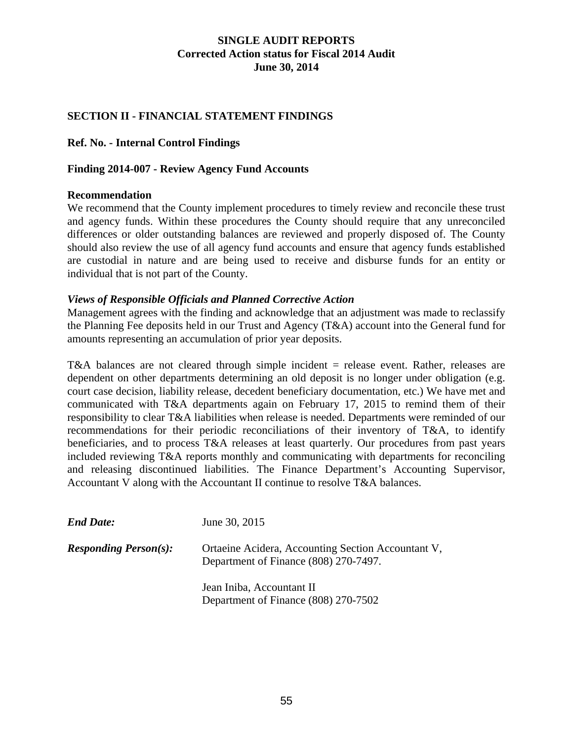## **SECTION II - FINANCIAL STATEMENT FINDINGS**

#### **Ref. No. - Internal Control Findings**

#### **Finding 2014-007 - Review Agency Fund Accounts**

#### **Recommendation**

We recommend that the County implement procedures to timely review and reconcile these trust and agency funds. Within these procedures the County should require that any unreconciled differences or older outstanding balances are reviewed and properly disposed of. The County should also review the use of all agency fund accounts and ensure that agency funds established are custodial in nature and are being used to receive and disburse funds for an entity or individual that is not part of the County.

#### *Views of Responsible Officials and Planned Corrective Action*

Management agrees with the finding and acknowledge that an adjustment was made to reclassify the Planning Fee deposits held in our Trust and Agency (T&A) account into the General fund for amounts representing an accumulation of prior year deposits.

T&A balances are not cleared through simple incident = release event. Rather, releases are dependent on other departments determining an old deposit is no longer under obligation (e.g. court case decision, liability release, decedent beneficiary documentation, etc.) We have met and communicated with T&A departments again on February 17, 2015 to remind them of their responsibility to clear T&A liabilities when release is needed. Departments were reminded of our recommendations for their periodic reconciliations of their inventory of T&A, to identify beneficiaries, and to process T&A releases at least quarterly. Our procedures from past years included reviewing T&A reports monthly and communicating with departments for reconciling and releasing discontinued liabilities. The Finance Department's Accounting Supervisor, Accountant V along with the Accountant II continue to resolve T&A balances.

| <b>End Date:</b>             | June 30, 2015                                                                               |
|------------------------------|---------------------------------------------------------------------------------------------|
| <b>Responding Person(s):</b> | Ortaeine Acidera, Accounting Section Accountant V,<br>Department of Finance (808) 270-7497. |
|                              | Jean Iniba, Accountant II<br>Department of Finance (808) 270-7502                           |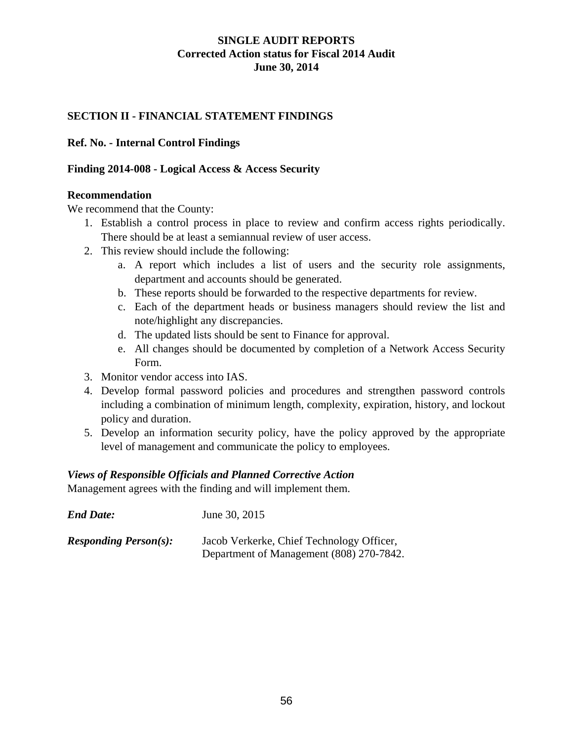## **SECTION II - FINANCIAL STATEMENT FINDINGS**

## **Ref. No. - Internal Control Findings**

## **Finding 2014-008 - Logical Access & Access Security**

#### **Recommendation**

We recommend that the County:

- 1. Establish a control process in place to review and confirm access rights periodically. There should be at least a semiannual review of user access.
- 2. This review should include the following:
	- a. A report which includes a list of users and the security role assignments, department and accounts should be generated.
	- b. These reports should be forwarded to the respective departments for review.
	- c. Each of the department heads or business managers should review the list and note/highlight any discrepancies.
	- d. The updated lists should be sent to Finance for approval.
	- e. All changes should be documented by completion of a Network Access Security Form.
- 3. Monitor vendor access into IAS.
- 4. Develop formal password policies and procedures and strengthen password controls including a combination of minimum length, complexity, expiration, history, and lockout policy and duration.
- 5. Develop an information security policy, have the policy approved by the appropriate level of management and communicate the policy to employees.

## *Views of Responsible Officials and Planned Corrective Action*

Management agrees with the finding and will implement them.

| <b>End Date:</b>             | June 30, 2015                                                                         |
|------------------------------|---------------------------------------------------------------------------------------|
| <i>Responding Person(s):</i> | Jacob Verkerke, Chief Technology Officer,<br>Department of Management (808) 270-7842. |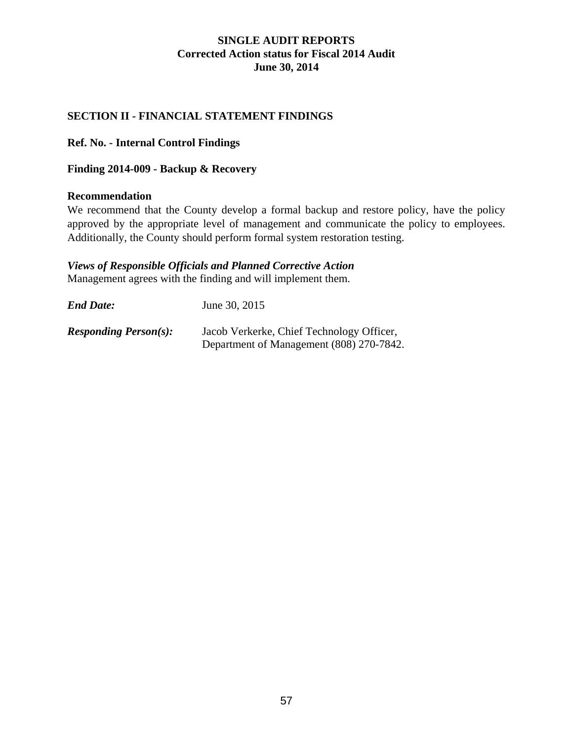## **SECTION II - FINANCIAL STATEMENT FINDINGS**

## **Ref. No. - Internal Control Findings**

**Finding 2014-009 - Backup & Recovery** 

#### **Recommendation**

We recommend that the County develop a formal backup and restore policy, have the policy approved by the appropriate level of management and communicate the policy to employees. Additionally, the County should perform formal system restoration testing.

## *Views of Responsible Officials and Planned Corrective Action*  Management agrees with the finding and will implement them.

*End Date:* June 30, 2015 *Responding Person(s):* Jacob Verkerke, Chief Technology Officer, Department of Management (808) 270-7842.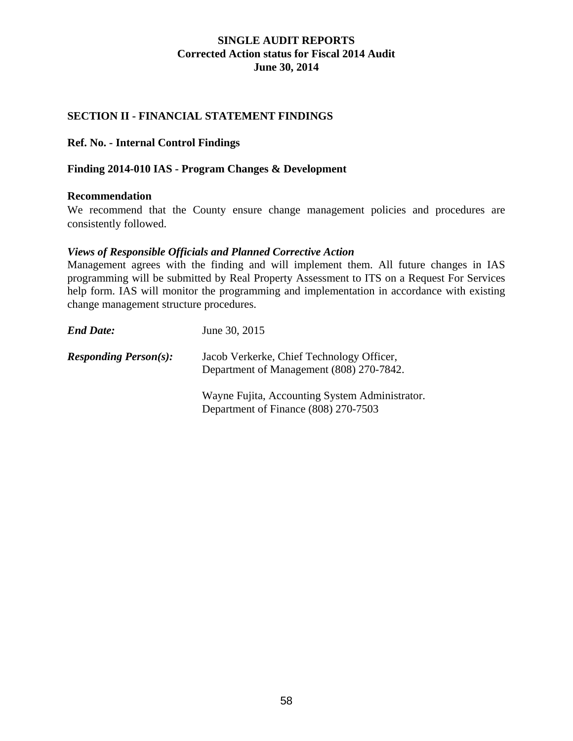## **SECTION II - FINANCIAL STATEMENT FINDINGS**

## **Ref. No. - Internal Control Findings**

## **Finding 2014-010 IAS - Program Changes & Development**

#### **Recommendation**

We recommend that the County ensure change management policies and procedures are consistently followed.

## *Views of Responsible Officials and Planned Corrective Action*

Management agrees with the finding and will implement them. All future changes in IAS programming will be submitted by Real Property Assessment to ITS on a Request For Services help form. IAS will monitor the programming and implementation in accordance with existing change management structure procedures.

| <b>End Date:</b>             | June 30, 2015                                                                          |
|------------------------------|----------------------------------------------------------------------------------------|
| <i>Responding Person(s):</i> | Jacob Verkerke, Chief Technology Officer,<br>Department of Management (808) 270-7842.  |
|                              | Wayne Fujita, Accounting System Administrator.<br>Department of Finance (808) 270-7503 |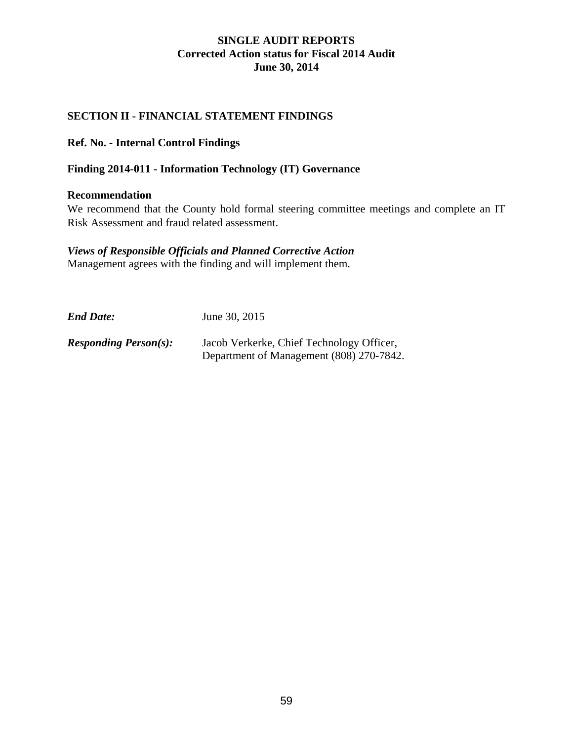## **SECTION II - FINANCIAL STATEMENT FINDINGS**

## **Ref. No. - Internal Control Findings**

**Finding 2014-011 - Information Technology (IT) Governance** 

#### **Recommendation**

We recommend that the County hold formal steering committee meetings and complete an IT Risk Assessment and fraud related assessment.

## *Views of Responsible Officials and Planned Corrective Action*

Management agrees with the finding and will implement them.

*End Date:* June 30, 2015 *Responding Person(s):* Jacob Verkerke, Chief Technology Officer, Department of Management (808) 270-7842.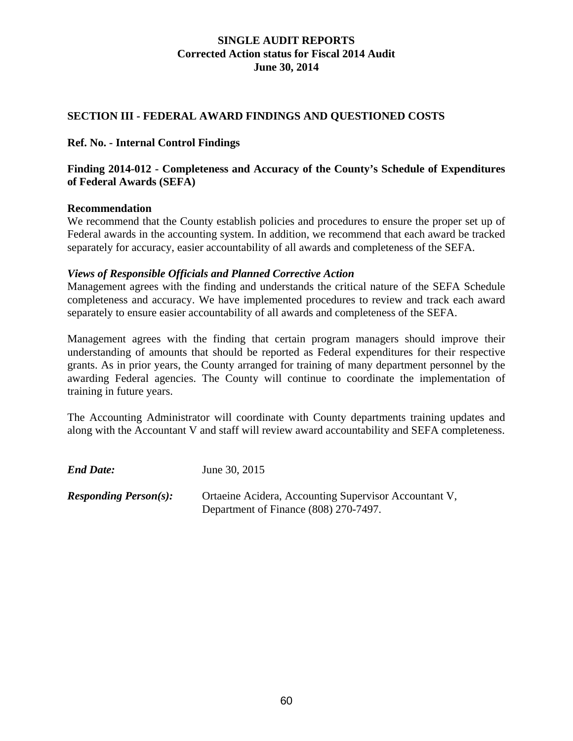## **SECTION III - FEDERAL AWARD FINDINGS AND QUESTIONED COSTS**

## **Ref. No. - Internal Control Findings**

## **Finding 2014-012 - Completeness and Accuracy of the County's Schedule of Expenditures of Federal Awards (SEFA)**

#### **Recommendation**

We recommend that the County establish policies and procedures to ensure the proper set up of Federal awards in the accounting system. In addition, we recommend that each award be tracked separately for accuracy, easier accountability of all awards and completeness of the SEFA.

## *Views of Responsible Officials and Planned Corrective Action*

Management agrees with the finding and understands the critical nature of the SEFA Schedule completeness and accuracy. We have implemented procedures to review and track each award separately to ensure easier accountability of all awards and completeness of the SEFA.

Management agrees with the finding that certain program managers should improve their understanding of amounts that should be reported as Federal expenditures for their respective grants. As in prior years, the County arranged for training of many department personnel by the awarding Federal agencies. The County will continue to coordinate the implementation of training in future years.

The Accounting Administrator will coordinate with County departments training updates and along with the Accountant V and staff will review award accountability and SEFA completeness.

*End Date:* June 30, 2015 *Responding Person(s):* Ortaeine Acidera, Accounting Supervisor Accountant V, Department of Finance (808) 270-7497.